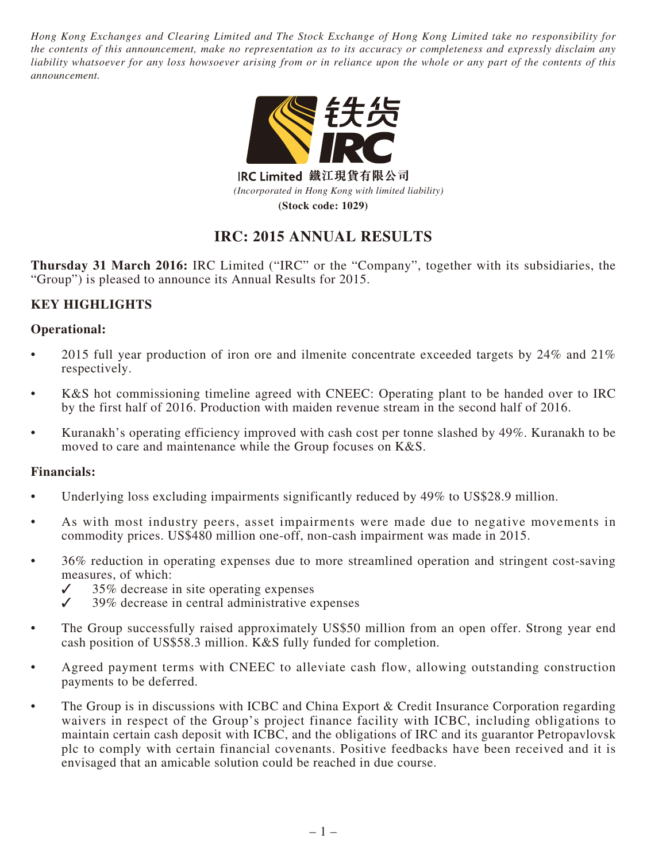*Hong Kong Exchanges and Clearing Limited and The Stock Exchange of Hong Kong Limited take no responsibility for the contents of this announcement, make no representation as to its accuracy or completeness and expressly disclaim any liability whatsoever for any loss howsoever arising from or in reliance upon the whole or any part of the contents of this announcement.*



IRC Limited 鐵江現貨有限公司 *(Incorporated in Hong Kong with limited liability)* **(Stock code: 1029)**

# **IRC: 2015 ANNUAL RESULTS**

**Thursday 31 March 2016:** IRC Limited ("IRC" or the "Company", together with its subsidiaries, the "Group") is pleased to announce its Annual Results for 2015.

## **KEY HIGHLIGHTS**

## **Operational:**

- 2015 full year production of iron ore and ilmenite concentrate exceeded targets by 24% and 21% respectively.
- K&S hot commissioning timeline agreed with CNEEC: Operating plant to be handed over to IRC by the first half of 2016. Production with maiden revenue stream in the second half of 2016.
- Kuranakh's operating efficiency improved with cash cost per tonne slashed by 49%. Kuranakh to be moved to care and maintenance while the Group focuses on K&S.

## **Financials:**

- Underlying loss excluding impairments significantly reduced by 49% to US\$28.9 million.
- As with most industry peers, asset impairments were made due to negative movements in commodity prices. US\$480 million one-off, non-cash impairment was made in 2015.
- 36% reduction in operating expenses due to more streamlined operation and stringent cost-saving measures, of which:
	- $\checkmark$  35% decrease in site operating expenses<br> $\checkmark$  39% decrease in central administrative e
	- ✓ 39% decrease in central administrative expenses
- The Group successfully raised approximately US\$50 million from an open offer. Strong year end cash position of US\$58.3 million. K&S fully funded for completion.
- Agreed payment terms with CNEEC to alleviate cash flow, allowing outstanding construction payments to be deferred.
- The Group is in discussions with ICBC and China Export & Credit Insurance Corporation regarding waivers in respect of the Group's project finance facility with ICBC, including obligations to maintain certain cash deposit with ICBC, and the obligations of IRC and its guarantor Petropavlovsk plc to comply with certain financial covenants. Positive feedbacks have been received and it is envisaged that an amicable solution could be reached in due course.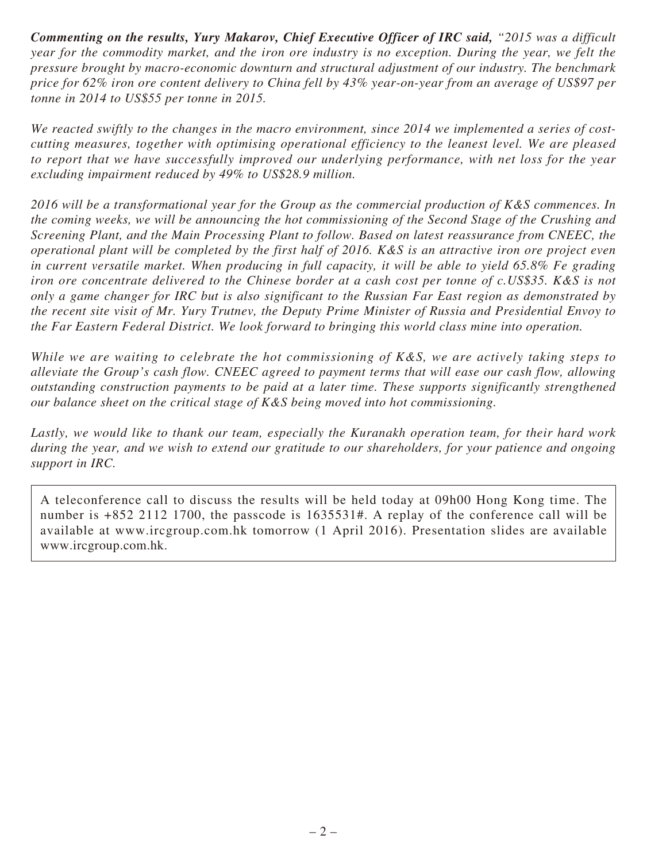*Commenting on the results, Yury Makarov, Chief Executive Officer of IRC said, "2015 was a difficult year for the commodity market, and the iron ore industry is no exception. During the year, we felt the pressure brought by macro-economic downturn and structural adjustment of our industry. The benchmark price for 62% iron ore content delivery to China fell by 43% year-on-year from an average of US\$97 per tonne in 2014 to US\$55 per tonne in 2015.*

*We reacted swiftly to the changes in the macro environment, since 2014 we implemented a series of costcutting measures, together with optimising operational efficiency to the leanest level. We are pleased to report that we have successfully improved our underlying performance, with net loss for the year excluding impairment reduced by 49% to US\$28.9 million.*

*2016 will be a transformational year for the Group as the commercial production of K&S commences. In the coming weeks, we will be announcing the hot commissioning of the Second Stage of the Crushing and Screening Plant, and the Main Processing Plant to follow. Based on latest reassurance from CNEEC, the operational plant will be completed by the first half of 2016. K&S is an attractive iron ore project even in current versatile market. When producing in full capacity, it will be able to yield 65.8% Fe grading iron ore concentrate delivered to the Chinese border at a cash cost per tonne of c.US\$35. K&S is not only a game changer for IRC but is also significant to the Russian Far East region as demonstrated by the recent site visit of Mr. Yury Trutnev, the Deputy Prime Minister of Russia and Presidential Envoy to the Far Eastern Federal District. We look forward to bringing this world class mine into operation.*

*While we are waiting to celebrate the hot commissioning of K&S, we are actively taking steps to alleviate the Group's cash flow. CNEEC agreed to payment terms that will ease our cash flow, allowing outstanding construction payments to be paid at a later time. These supports significantly strengthened our balance sheet on the critical stage of K&S being moved into hot commissioning.*

*Lastly, we would like to thank our team, especially the Kuranakh operation team, for their hard work during the year, and we wish to extend our gratitude to our shareholders, for your patience and ongoing support in IRC.*

A teleconference call to discuss the results will be held today at 09h00 Hong Kong time. The number is +852 2112 1700, the passcode is 1635531#. A replay of the conference call will be available at www.ircgroup.com.hk tomorrow (1 April 2016). Presentation slides are available www.ircgroup.com.hk.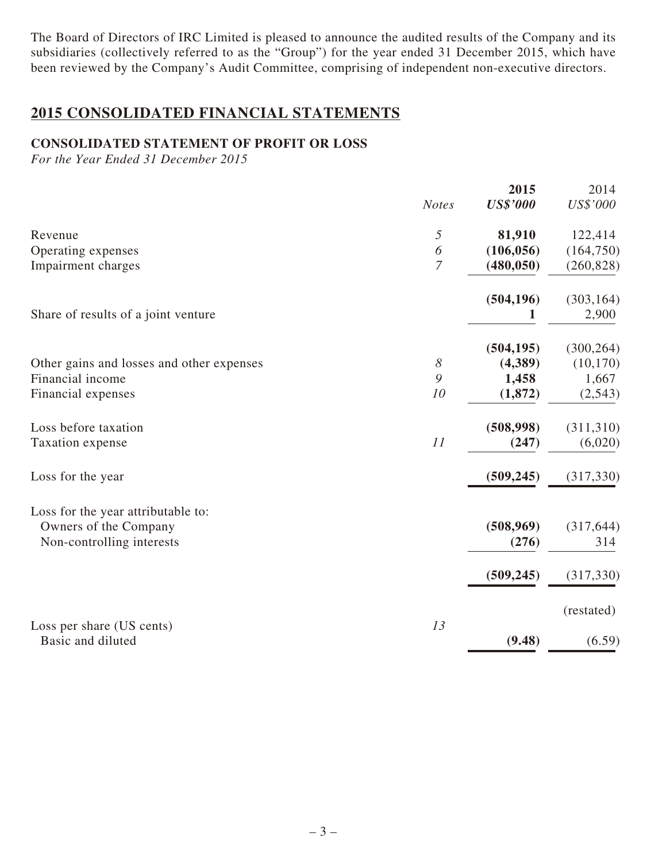The Board of Directors of IRC Limited is pleased to announce the audited results of the Company and its subsidiaries (collectively referred to as the "Group") for the year ended 31 December 2015, which have been reviewed by the Company's Audit Committee, comprising of independent non-executive directors.

# **2015 CONSOLIDATED FINANCIAL STATEMENTS**

## **CONSOLIDATED STATEMENT OF PROFIT OR LOSS**

*For the Year Ended 31 December 2015*

|                                                |                       | 2015            | 2014       |
|------------------------------------------------|-----------------------|-----------------|------------|
|                                                | <b>Notes</b>          | <b>US\$'000</b> | US\$'000   |
| Revenue                                        | $\sqrt{2}$            | 81,910          | 122,414    |
| Operating expenses                             | 6                     | (106, 056)      | (164, 750) |
| Impairment charges                             | $\overline{7}$        | (480, 050)      | (260, 828) |
|                                                |                       | (504, 196)      | (303, 164) |
| Share of results of a joint venture            |                       | 1               | 2,900      |
|                                                |                       | (504, 195)      | (300, 264) |
| Other gains and losses and other expenses      | $\boldsymbol{\delta}$ | (4,389)         | (10, 170)  |
| Financial income                               | 9                     | 1,458           | 1,667      |
| Financial expenses                             | 10                    | (1,872)         | (2,543)    |
| Loss before taxation                           |                       | (508,998)       | (311,310)  |
| Taxation expense                               | 11                    | (247)           | (6,020)    |
| Loss for the year                              |                       | (509, 245)      | (317, 330) |
| Loss for the year attributable to:             |                       |                 |            |
| Owners of the Company                          |                       | (508, 969)      | (317, 644) |
| Non-controlling interests                      |                       | (276)           | 314        |
|                                                |                       | (509, 245)      | (317, 330) |
|                                                |                       |                 | (restated) |
| Loss per share (US cents)<br>Basic and diluted | 13                    | (9.48)          | (6.59)     |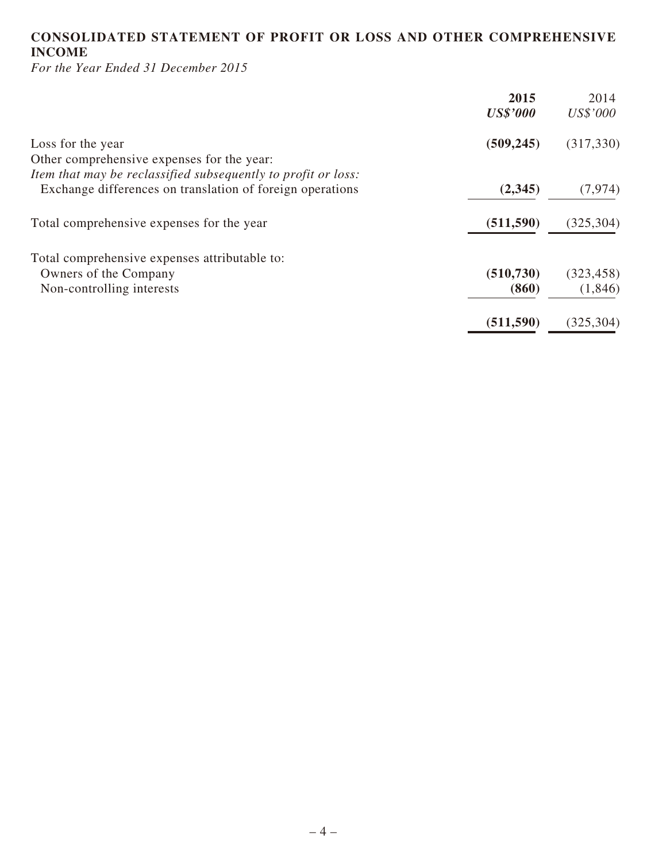## **CONSOLIDATED STATEMENT OF PROFIT OR LOSS AND OTHER COMPREHENSIVE INCOME**

*For the Year Ended 31 December 2015*

| 2015            | 2014       |
|-----------------|------------|
| <b>US\$'000</b> | US\$'000   |
| (509, 245)      | (317, 330) |
|                 |            |
|                 |            |
| (2,345)         | (7, 974)   |
| (511, 590)      | (325, 304) |
|                 |            |
| (510, 730)      | (323, 458) |
| (860)           | (1,846)    |
| (511, 590)      | (325, 304) |
|                 |            |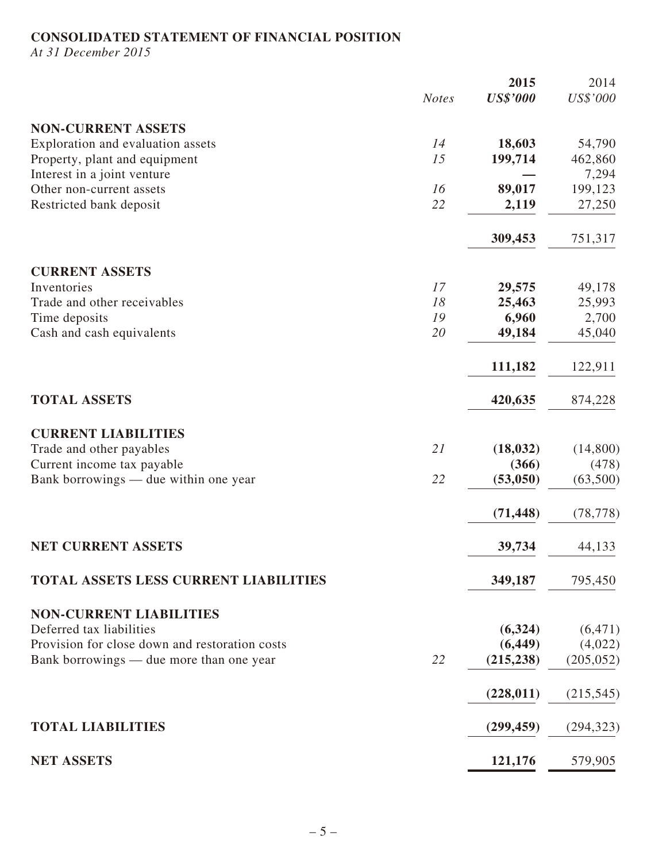## **CONSOLIDATED STATEMENT OF FINANCIAL POSITION**

*At 31 December 2015*

|                                                |              | 2015            | 2014       |
|------------------------------------------------|--------------|-----------------|------------|
|                                                | <b>Notes</b> | <b>US\$'000</b> | US\$'000   |
| <b>NON-CURRENT ASSETS</b>                      |              |                 |            |
| Exploration and evaluation assets              | 14           | 18,603          | 54,790     |
| Property, plant and equipment                  | 15           | 199,714         | 462,860    |
| Interest in a joint venture                    |              |                 | 7,294      |
| Other non-current assets                       | 16           | 89,017          | 199,123    |
| Restricted bank deposit                        | 22           | 2,119           | 27,250     |
|                                                |              |                 |            |
|                                                |              | 309,453         | 751,317    |
| <b>CURRENT ASSETS</b>                          |              |                 |            |
| Inventories                                    | 17           | 29,575          | 49,178     |
| Trade and other receivables                    | 18           | 25,463          | 25,993     |
| Time deposits                                  | 19           | 6,960           | 2,700      |
| Cash and cash equivalents                      | 20           | 49,184          | 45,040     |
|                                                |              | 111,182         | 122,911    |
|                                                |              |                 |            |
| <b>TOTAL ASSETS</b>                            |              | 420,635         | 874,228    |
| <b>CURRENT LIABILITIES</b>                     |              |                 |            |
| Trade and other payables                       | 21           | (18, 032)       | (14,800)   |
| Current income tax payable                     |              | (366)           | (478)      |
| Bank borrowings — due within one year          | 22           | (53,050)        | (63,500)   |
|                                                |              | (71, 448)       | (78, 778)  |
|                                                |              |                 |            |
| <b>NET CURRENT ASSETS</b>                      |              | 39,734          | 44,133     |
| TOTAL ASSETS LESS CURRENT LIABILITIES          |              | 349,187         | 795,450    |
|                                                |              |                 |            |
| <b>NON-CURRENT LIABILITIES</b>                 |              |                 |            |
| Deferred tax liabilities                       |              | (6,324)         | (6, 471)   |
| Provision for close down and restoration costs |              | (6, 449)        | (4,022)    |
| Bank borrowings — due more than one year       | 22           | (215, 238)      | (205, 052) |
|                                                |              | (228, 011)      | (215, 545) |
|                                                |              |                 |            |
| <b>TOTAL LIABILITIES</b>                       |              | (299, 459)      | (294, 323) |
| <b>NET ASSETS</b>                              |              | 121,176         | 579,905    |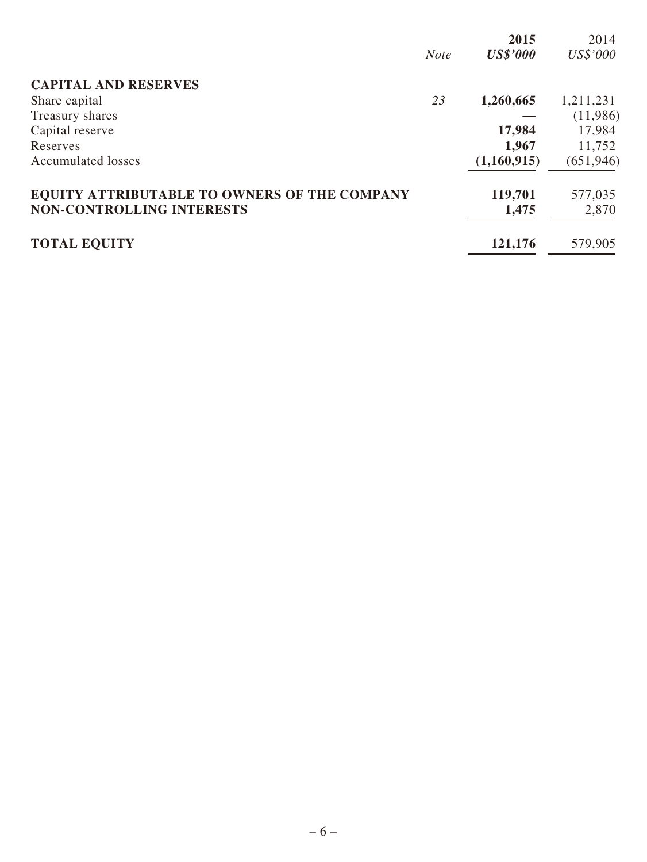|                                              |             | 2015            | 2014       |
|----------------------------------------------|-------------|-----------------|------------|
|                                              | <b>Note</b> | <b>US\$'000</b> | US\$'000   |
| <b>CAPITAL AND RESERVES</b>                  |             |                 |            |
| Share capital                                | 23          | 1,260,665       | 1,211,231  |
| Treasury shares                              |             |                 | (11,986)   |
| Capital reserve                              |             | 17,984          | 17,984     |
| Reserves                                     |             | 1,967           | 11,752     |
| <b>Accumulated losses</b>                    |             | (1,160,915)     | (651, 946) |
| EQUITY ATTRIBUTABLE TO OWNERS OF THE COMPANY |             | 119,701         | 577,035    |
| <b>NON-CONTROLLING INTERESTS</b>             |             | 1,475           | 2,870      |
| <b>TOTAL EQUITY</b>                          |             | 121,176         | 579,905    |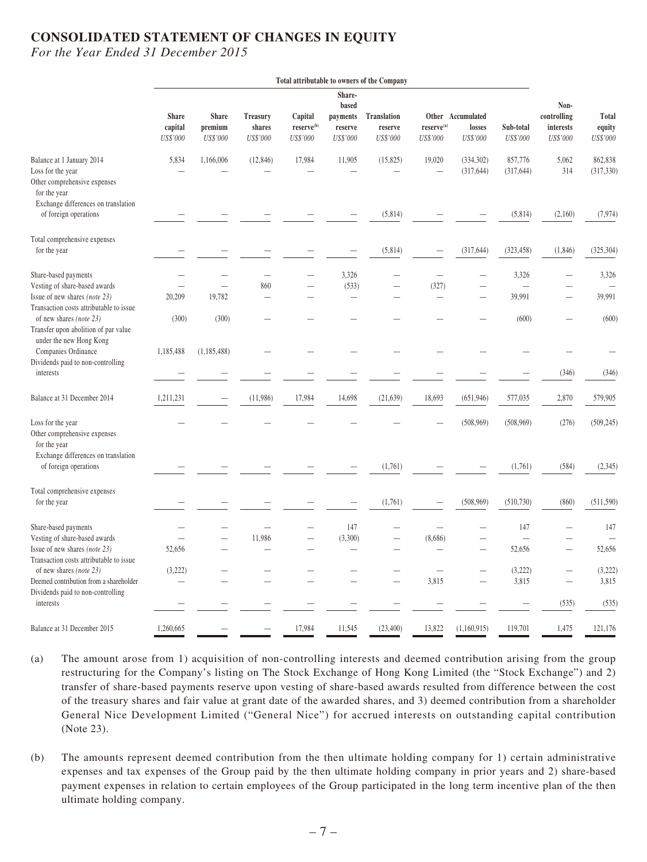## **CONSOLIDATED STATEMENT OF CHANGES IN EQUITY**

*For the Year Ended 31 December 2015*

|                                                                                                            |                                     |                                     |                                       |                                               |                                                    | Total attributable to owners of the Company |                                   |                                         |                                    |                                              |                             |
|------------------------------------------------------------------------------------------------------------|-------------------------------------|-------------------------------------|---------------------------------------|-----------------------------------------------|----------------------------------------------------|---------------------------------------------|-----------------------------------|-----------------------------------------|------------------------------------|----------------------------------------------|-----------------------------|
|                                                                                                            | <b>Share</b><br>capital<br>US\$'000 | <b>Share</b><br>premium<br>US\$'000 | <b>Treasury</b><br>shares<br>US\$'000 | Capital<br>reserve <sup>(b)</sup><br>US\$'000 | Share-<br>based<br>payments<br>reserve<br>US\$'000 | <b>Translation</b><br>reserve<br>US\$'000   | $reserve^{(a)}$<br>US\$'000       | Other Accumulated<br>losses<br>US\$'000 | Sub-total<br>US\$'000              | Non-<br>controlling<br>interests<br>US\$'000 | Total<br>equity<br>US\$'000 |
| Balance at 1 January 2014<br>Loss for the year<br>Other comprehensive expenses<br>for the year             | 5,834                               | 1,166,006                           | (12, 846)                             | 17,984                                        | 11,905                                             | (15,825)                                    | 19,020                            | (334, 302)<br>(317, 644)                | 857,776<br>(317, 644)              | 5,062<br>314                                 | 862,838<br>(317, 330)       |
| Exchange differences on translation<br>of foreign operations                                               |                                     |                                     |                                       |                                               |                                                    | (5,814)                                     |                                   |                                         | (5,814)                            | (2,160)                                      | (7, 974)                    |
| Total comprehensive expenses<br>for the year                                                               |                                     |                                     |                                       |                                               |                                                    | (5,814)                                     |                                   | (317, 644)                              | (323, 458)                         | (1, 846)                                     | (325, 304)                  |
| Share-based payments                                                                                       | $\overline{\phantom{a}}$            |                                     | $\overline{\phantom{0}}$              |                                               | 3,326                                              |                                             |                                   |                                         | 3,326                              |                                              | 3,326                       |
| Vesting of share-based awards<br>Issue of new shares (note 23)                                             | $\overline{\phantom{0}}$<br>20,209  | 19,782                              | 860<br>$\overline{\phantom{0}}$       | $\overline{\phantom{a}}$                      | (533)<br>$\overline{\phantom{0}}$                  |                                             | (327)<br>$\overline{\phantom{0}}$ | $\overline{\phantom{0}}$                | $\overline{\phantom{0}}$<br>39,991 |                                              | 39,991                      |
| Transaction costs attributable to issue<br>of new shares (note 23)<br>Transfer upon abolition of par value | (300)                               | (300)                               |                                       |                                               |                                                    |                                             |                                   |                                         | (600)                              |                                              | (600)                       |
| under the new Hong Kong<br>Companies Ordinance                                                             | 1,185,488                           | (1,185,488)                         |                                       |                                               |                                                    |                                             |                                   |                                         |                                    |                                              |                             |
| Dividends paid to non-controlling<br>interests                                                             |                                     |                                     |                                       |                                               |                                                    |                                             |                                   |                                         |                                    | (346)                                        | (346)                       |
| Balance at 31 December 2014                                                                                | 1,211,231                           |                                     | (11,986)                              | 17,984                                        | 14,698                                             | (21, 639)                                   | 18,693                            | (651, 946)                              | 577,035                            | 2,870                                        | 579,905                     |
| Loss for the year<br>Other comprehensive expenses<br>for the year                                          |                                     |                                     |                                       |                                               |                                                    |                                             |                                   | (508, 969)                              | (508, 969)                         | (276)                                        | (509, 245)                  |
| Exchange differences on translation<br>of foreign operations                                               |                                     |                                     |                                       |                                               |                                                    | (1,761)                                     |                                   |                                         | (1,761)                            | (584)                                        | (2,345)                     |
| Total comprehensive expenses<br>for the year                                                               |                                     |                                     |                                       |                                               |                                                    | (1,761)                                     |                                   | (508, 969)                              | (510, 730)                         | (860)                                        | (511, 590)                  |
| Share-based payments                                                                                       |                                     |                                     |                                       |                                               | 147                                                |                                             |                                   | $\overline{\phantom{0}}$                | 147                                | $\overline{\phantom{0}}$                     | 147                         |
| Vesting of share-based awards                                                                              |                                     |                                     | 11,986                                |                                               | (3,300)                                            |                                             | (8,686)                           |                                         | $\overline{\phantom{0}}$           |                                              |                             |
| Issue of new shares (note 23)<br>Transaction costs attributable to issue                                   | 52,656                              |                                     |                                       |                                               |                                                    |                                             |                                   |                                         | 52,656                             |                                              | 52,656                      |
| of new shares (note 23)                                                                                    | (3,222)                             |                                     |                                       |                                               |                                                    |                                             |                                   |                                         | (3,222)                            | $\overline{\phantom{0}}$                     | (3,222)                     |
| Deemed contribution from a shareholder<br>Dividends paid to non-controlling                                | $\overline{\phantom{0}}$            |                                     |                                       |                                               |                                                    | $\overline{\phantom{0}}$                    | 3,815                             | $\qquad \qquad -$                       | 3,815                              | $\overline{\phantom{0}}$                     | 3,815                       |
| interests                                                                                                  |                                     |                                     |                                       |                                               |                                                    |                                             |                                   |                                         |                                    | (535)                                        | (535)                       |
| Balance at 31 December 2015                                                                                | 1.260,665                           |                                     |                                       | 17,984                                        | 11,545                                             | (23,400)                                    | 13,822                            | (1,160,915)                             | 119,701                            | 1,475                                        | 121,176                     |

- (a) The amount arose from 1) acquisition of non-controlling interests and deemed contribution arising from the group restructuring for the Company's listing on The Stock Exchange of Hong Kong Limited (the "Stock Exchange") and 2) transfer of share-based payments reserve upon vesting of share-based awards resulted from difference between the cost of the treasury shares and fair value at grant date of the awarded shares, and 3) deemed contribution from a shareholder General Nice Development Limited ("General Nice") for accrued interests on outstanding capital contribution (Note 23).
- (b) The amounts represent deemed contribution from the then ultimate holding company for 1) certain administrative expenses and tax expenses of the Group paid by the then ultimate holding company in prior years and 2) share-based payment expenses in relation to certain employees of the Group participated in the long term incentive plan of the then ultimate holding company.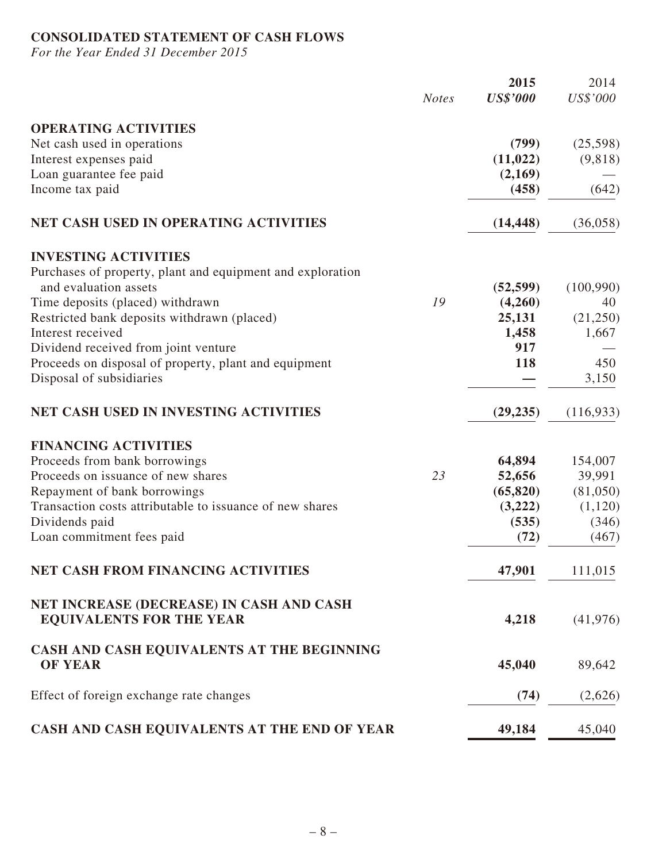# **CONSOLIDATED STATEMENT OF CASH FLOWS**

*For the Year Ended 31 December 2015*

|                                                                             | <b>Notes</b> | 2015<br><b>US\$'000</b> | 2014<br>US\$'000 |
|-----------------------------------------------------------------------------|--------------|-------------------------|------------------|
| <b>OPERATING ACTIVITIES</b>                                                 |              |                         |                  |
| Net cash used in operations                                                 |              | (799)                   | (25,598)         |
| Interest expenses paid                                                      |              | (11, 022)               | (9,818)          |
| Loan guarantee fee paid                                                     |              | (2,169)                 |                  |
| Income tax paid                                                             |              | (458)                   | (642)            |
| <b>NET CASH USED IN OPERATING ACTIVITIES</b>                                |              | (14, 448)               | (36,058)         |
| <b>INVESTING ACTIVITIES</b>                                                 |              |                         |                  |
| Purchases of property, plant and equipment and exploration                  |              |                         |                  |
| and evaluation assets                                                       |              | (52, 599)               | (100,990)        |
| Time deposits (placed) withdrawn                                            | 19           | (4,260)                 | 40               |
| Restricted bank deposits withdrawn (placed)                                 |              | 25,131                  | (21,250)         |
| Interest received                                                           |              | 1,458                   | 1,667            |
| Dividend received from joint venture                                        |              | 917                     |                  |
| Proceeds on disposal of property, plant and equipment                       |              | 118                     | 450              |
| Disposal of subsidiaries                                                    |              |                         | 3,150            |
| <b>NET CASH USED IN INVESTING ACTIVITIES</b>                                |              | (29, 235)               | (116,933)        |
| <b>FINANCING ACTIVITIES</b>                                                 |              |                         |                  |
| Proceeds from bank borrowings                                               |              | 64,894                  | 154,007          |
| Proceeds on issuance of new shares                                          | 23           | 52,656                  | 39,991           |
| Repayment of bank borrowings                                                |              | (65, 820)               | (81,050)         |
| Transaction costs attributable to issuance of new shares                    |              | (3,222)                 | (1,120)          |
| Dividends paid                                                              |              | (535)                   | (346)            |
| Loan commitment fees paid                                                   |              | (72)                    | (467)            |
| <b>NET CASH FROM FINANCING ACTIVITIES</b>                                   |              | 47,901                  | 111,015          |
| NET INCREASE (DECREASE) IN CASH AND CASH<br><b>EQUIVALENTS FOR THE YEAR</b> |              | 4,218                   | (41, 976)        |
| CASH AND CASH EQUIVALENTS AT THE BEGINNING                                  |              |                         |                  |
| <b>OF YEAR</b>                                                              |              | 45,040                  | 89,642           |
| Effect of foreign exchange rate changes                                     |              | (74)                    | (2,626)          |
| CASH AND CASH EQUIVALENTS AT THE END OF YEAR                                |              | 49,184                  | 45,040           |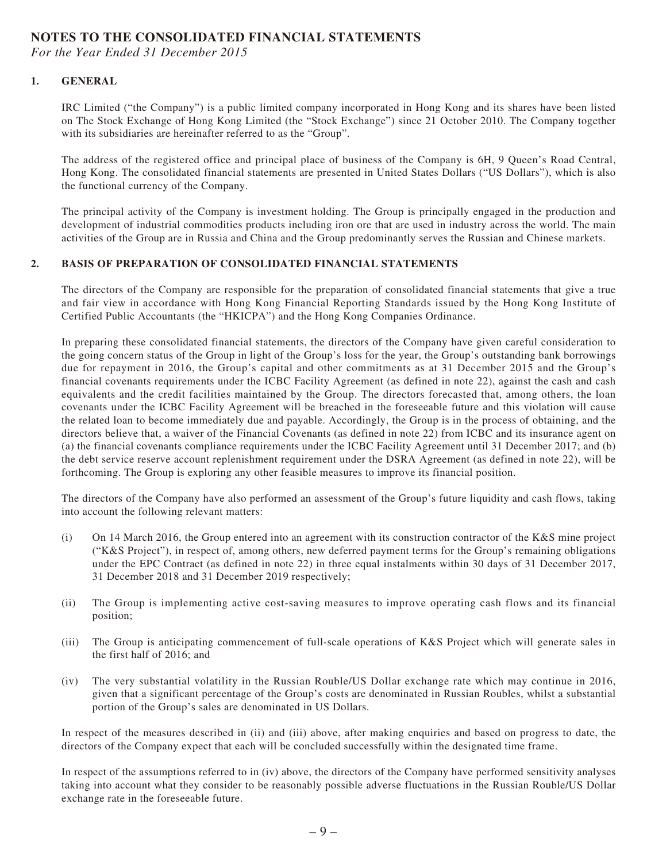### **NOTES TO THE CONSOLIDATED FINANCIAL STATEMENTS**

*For the Year Ended 31 December 2015*

### **1. GENERAL**

IRC Limited ("the Company") is a public limited company incorporated in Hong Kong and its shares have been listed on The Stock Exchange of Hong Kong Limited (the "Stock Exchange") since 21 October 2010. The Company together with its subsidiaries are hereinafter referred to as the "Group".

The address of the registered office and principal place of business of the Company is 6H, 9 Queen's Road Central, Hong Kong. The consolidated financial statements are presented in United States Dollars ("US Dollars"), which is also the functional currency of the Company.

The principal activity of the Company is investment holding. The Group is principally engaged in the production and development of industrial commodities products including iron ore that are used in industry across the world. The main activities of the Group are in Russia and China and the Group predominantly serves the Russian and Chinese markets.

### **2. BASIS OF PREPARATION OF CONSOLIDATED FINANCIAL STATEMENTS**

The directors of the Company are responsible for the preparation of consolidated financial statements that give a true and fair view in accordance with Hong Kong Financial Reporting Standards issued by the Hong Kong Institute of Certified Public Accountants (the "HKICPA") and the Hong Kong Companies Ordinance.

In preparing these consolidated financial statements, the directors of the Company have given careful consideration to the going concern status of the Group in light of the Group's loss for the year, the Group's outstanding bank borrowings due for repayment in 2016, the Group's capital and other commitments as at 31 December 2015 and the Group's financial covenants requirements under the ICBC Facility Agreement (as defined in note 22), against the cash and cash equivalents and the credit facilities maintained by the Group. The directors forecasted that, among others, the loan covenants under the ICBC Facility Agreement will be breached in the foreseeable future and this violation will cause the related loan to become immediately due and payable. Accordingly, the Group is in the process of obtaining, and the directors believe that, a waiver of the Financial Covenants (as defined in note 22) from ICBC and its insurance agent on (a) the financial covenants compliance requirements under the ICBC Facility Agreement until 31 December 2017; and (b) the debt service reserve account replenishment requirement under the DSRA Agreement (as defined in note 22), will be forthcoming. The Group is exploring any other feasible measures to improve its financial position.

The directors of the Company have also performed an assessment of the Group's future liquidity and cash flows, taking into account the following relevant matters:

- (i) On 14 March 2016, the Group entered into an agreement with its construction contractor of the K&S mine project ("K&S Project"), in respect of, among others, new deferred payment terms for the Group's remaining obligations under the EPC Contract (as defined in note 22) in three equal instalments within 30 days of 31 December 2017, 31 December 2018 and 31 December 2019 respectively;
- (ii) The Group is implementing active cost-saving measures to improve operating cash flows and its financial position;
- (iii) The Group is anticipating commencement of full-scale operations of K&S Project which will generate sales in the first half of 2016; and
- (iv) The very substantial volatility in the Russian Rouble/US Dollar exchange rate which may continue in 2016, given that a significant percentage of the Group's costs are denominated in Russian Roubles, whilst a substantial portion of the Group's sales are denominated in US Dollars.

In respect of the measures described in (ii) and (iii) above, after making enquiries and based on progress to date, the directors of the Company expect that each will be concluded successfully within the designated time frame.

In respect of the assumptions referred to in (iv) above, the directors of the Company have performed sensitivity analyses taking into account what they consider to be reasonably possible adverse fluctuations in the Russian Rouble/US Dollar exchange rate in the foreseeable future.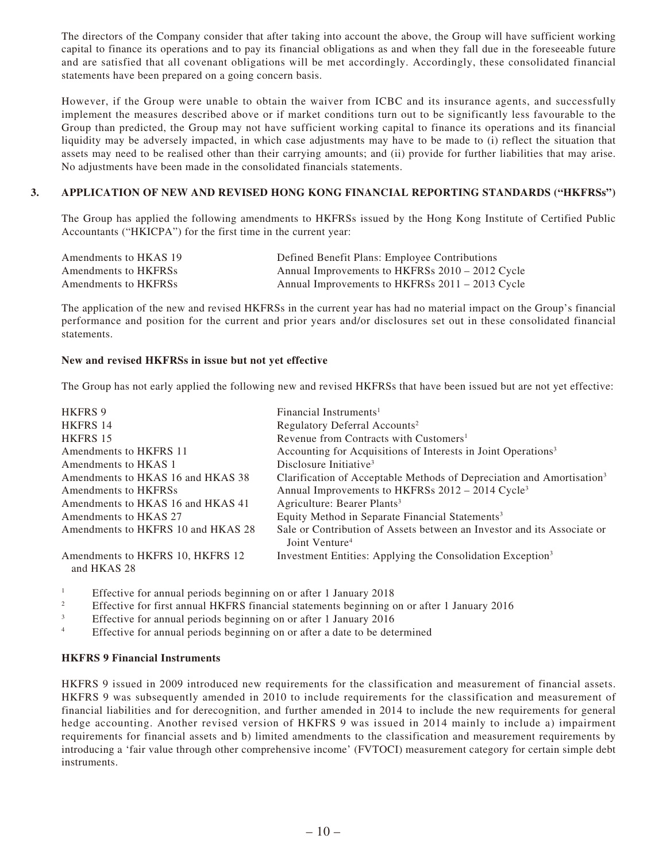The directors of the Company consider that after taking into account the above, the Group will have sufficient working capital to finance its operations and to pay its financial obligations as and when they fall due in the foreseeable future and are satisfied that all covenant obligations will be met accordingly. Accordingly, these consolidated financial statements have been prepared on a going concern basis.

However, if the Group were unable to obtain the waiver from ICBC and its insurance agents, and successfully implement the measures described above or if market conditions turn out to be significantly less favourable to the Group than predicted, the Group may not have sufficient working capital to finance its operations and its financial liquidity may be adversely impacted, in which case adjustments may have to be made to (i) reflect the situation that assets may need to be realised other than their carrying amounts; and (ii) provide for further liabilities that may arise. No adjustments have been made in the consolidated financials statements.

### **3. APPLICATION OF NEW AND REVISED HONG KONG FINANCIAL REPORTING STANDARDS ("HKFRSs")**

The Group has applied the following amendments to HKFRSs issued by the Hong Kong Institute of Certified Public Accountants ("HKICPA") for the first time in the current year:

| Amendments to HKAS 19 | Defined Benefit Plans: Employee Contributions   |
|-----------------------|-------------------------------------------------|
| Amendments to HKFRSs  | Annual Improvements to HKFRSs 2010 – 2012 Cycle |
| Amendments to HKFRSs  | Annual Improvements to HKFRSs 2011 – 2013 Cycle |

The application of the new and revised HKFRSs in the current year has had no material impact on the Group's financial performance and position for the current and prior years and/or disclosures set out in these consolidated financial statements.

### **New and revised HKFRSs in issue but not yet effective**

The Group has not early applied the following new and revised HKFRSs that have been issued but are not yet effective:

| <b>HKFRS 9</b>                                  | Financial Instruments <sup>1</sup>                                                                    |
|-------------------------------------------------|-------------------------------------------------------------------------------------------------------|
| <b>HKFRS 14</b>                                 | Regulatory Deferral Accounts <sup>2</sup>                                                             |
| HKFRS 15                                        | Revenue from Contracts with Customers <sup>1</sup>                                                    |
| Amendments to HKFRS 11                          | Accounting for Acquisitions of Interests in Joint Operations <sup>3</sup>                             |
| Amendments to HKAS 1                            | Disclosure Initiative <sup>3</sup>                                                                    |
| Amendments to HKAS 16 and HKAS 38               | Clarification of Acceptable Methods of Depreciation and Amortisation <sup>3</sup>                     |
| Amendments to HKFRSs                            | Annual Improvements to HKFRSs 2012 – 2014 Cycle <sup>3</sup>                                          |
| Amendments to HKAS 16 and HKAS 41               | Agriculture: Bearer Plants <sup>3</sup>                                                               |
| Amendments to HKAS 27                           | Equity Method in Separate Financial Statements <sup>3</sup>                                           |
| Amendments to HKFRS 10 and HKAS 28              | Sale or Contribution of Assets between an Investor and its Associate or<br>Joint Venture <sup>4</sup> |
| Amendments to HKFRS 10, HKFRS 12<br>and HKAS 28 | Investment Entities: Applying the Consolidation Exception <sup>3</sup>                                |

1 Effective for annual periods beginning on or after 1 January 2018

- 2 Effective for first annual HKFRS financial statements beginning on or after 1 January 2016
- 3 Effective for annual periods beginning on or after 1 January 2016
- 4 Effective for annual periods beginning on or after a date to be determined

#### **HKFRS 9 Financial Instruments**

HKFRS 9 issued in 2009 introduced new requirements for the classification and measurement of financial assets. HKFRS 9 was subsequently amended in 2010 to include requirements for the classification and measurement of financial liabilities and for derecognition, and further amended in 2014 to include the new requirements for general hedge accounting. Another revised version of HKFRS 9 was issued in 2014 mainly to include a) impairment requirements for financial assets and b) limited amendments to the classification and measurement requirements by introducing a 'fair value through other comprehensive income' (FVTOCI) measurement category for certain simple debt instruments.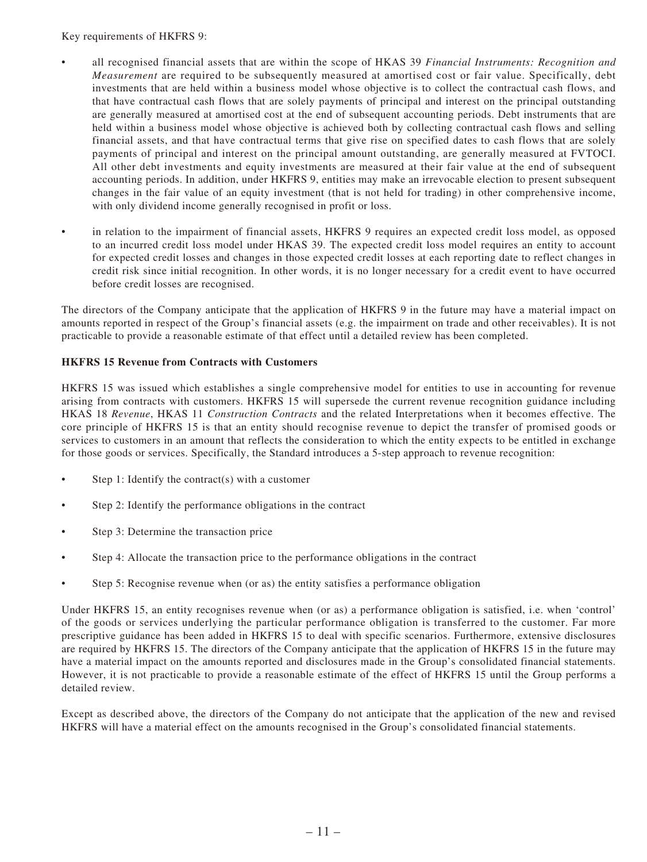Key requirements of HKFRS 9:

- all recognised financial assets that are within the scope of HKAS 39 *Financial Instruments: Recognition and Measurement* are required to be subsequently measured at amortised cost or fair value. Specifically, debt investments that are held within a business model whose objective is to collect the contractual cash flows, and that have contractual cash flows that are solely payments of principal and interest on the principal outstanding are generally measured at amortised cost at the end of subsequent accounting periods. Debt instruments that are held within a business model whose objective is achieved both by collecting contractual cash flows and selling financial assets, and that have contractual terms that give rise on specified dates to cash flows that are solely payments of principal and interest on the principal amount outstanding, are generally measured at FVTOCI. All other debt investments and equity investments are measured at their fair value at the end of subsequent accounting periods. In addition, under HKFRS 9, entities may make an irrevocable election to present subsequent changes in the fair value of an equity investment (that is not held for trading) in other comprehensive income, with only dividend income generally recognised in profit or loss.
- in relation to the impairment of financial assets, HKFRS 9 requires an expected credit loss model, as opposed to an incurred credit loss model under HKAS 39. The expected credit loss model requires an entity to account for expected credit losses and changes in those expected credit losses at each reporting date to reflect changes in credit risk since initial recognition. In other words, it is no longer necessary for a credit event to have occurred before credit losses are recognised.

The directors of the Company anticipate that the application of HKFRS 9 in the future may have a material impact on amounts reported in respect of the Group's financial assets (e.g. the impairment on trade and other receivables). It is not practicable to provide a reasonable estimate of that effect until a detailed review has been completed.

### **HKFRS 15 Revenue from Contracts with Customers**

HKFRS 15 was issued which establishes a single comprehensive model for entities to use in accounting for revenue arising from contracts with customers. HKFRS 15 will supersede the current revenue recognition guidance including HKAS 18 *Revenue*, HKAS 11 *Construction Contracts* and the related Interpretations when it becomes effective. The core principle of HKFRS 15 is that an entity should recognise revenue to depict the transfer of promised goods or services to customers in an amount that reflects the consideration to which the entity expects to be entitled in exchange for those goods or services. Specifically, the Standard introduces a 5-step approach to revenue recognition:

- Step 1: Identify the contract(s) with a customer
- Step 2: Identify the performance obligations in the contract
- Step 3: Determine the transaction price
- Step 4: Allocate the transaction price to the performance obligations in the contract
- Step 5: Recognise revenue when (or as) the entity satisfies a performance obligation

Under HKFRS 15, an entity recognises revenue when (or as) a performance obligation is satisfied, i.e. when 'control' of the goods or services underlying the particular performance obligation is transferred to the customer. Far more prescriptive guidance has been added in HKFRS 15 to deal with specific scenarios. Furthermore, extensive disclosures are required by HKFRS 15. The directors of the Company anticipate that the application of HKFRS 15 in the future may have a material impact on the amounts reported and disclosures made in the Group's consolidated financial statements. However, it is not practicable to provide a reasonable estimate of the effect of HKFRS 15 until the Group performs a detailed review.

Except as described above, the directors of the Company do not anticipate that the application of the new and revised HKFRS will have a material effect on the amounts recognised in the Group's consolidated financial statements.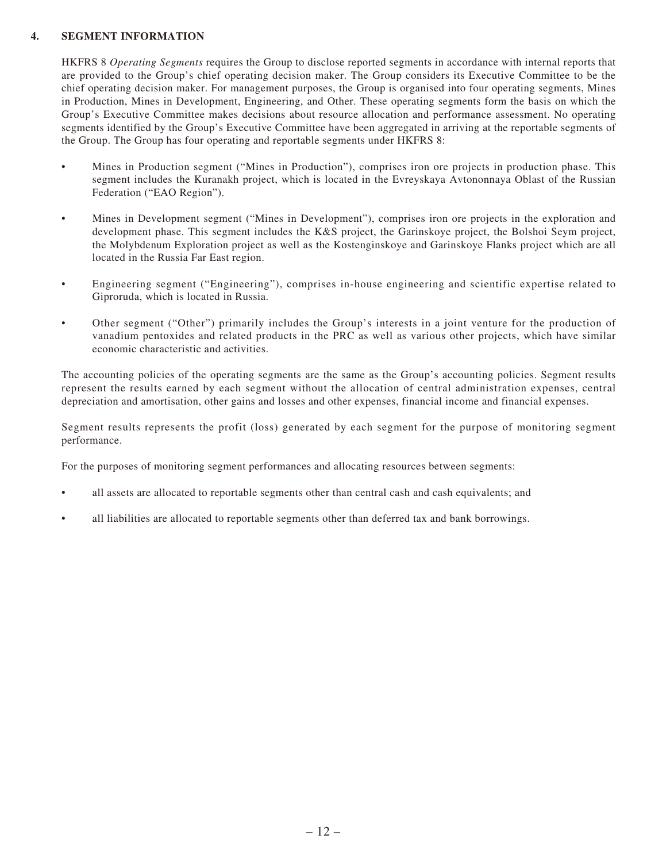### **4. SEGMENT INFORMATION**

HKFRS 8 *Operating Segments* requires the Group to disclose reported segments in accordance with internal reports that are provided to the Group's chief operating decision maker. The Group considers its Executive Committee to be the chief operating decision maker. For management purposes, the Group is organised into four operating segments, Mines in Production, Mines in Development, Engineering, and Other. These operating segments form the basis on which the Group's Executive Committee makes decisions about resource allocation and performance assessment. No operating segments identified by the Group's Executive Committee have been aggregated in arriving at the reportable segments of the Group. The Group has four operating and reportable segments under HKFRS 8:

- Mines in Production segment ("Mines in Production"), comprises iron ore projects in production phase. This segment includes the Kuranakh project, which is located in the Evreyskaya Avtononnaya Oblast of the Russian Federation ("EAO Region").
- Mines in Development segment ("Mines in Development"), comprises iron ore projects in the exploration and development phase. This segment includes the K&S project, the Garinskoye project, the Bolshoi Seym project, the Molybdenum Exploration project as well as the Kostenginskoye and Garinskoye Flanks project which are all located in the Russia Far East region.
- Engineering segment ("Engineering"), comprises in-house engineering and scientific expertise related to Giproruda, which is located in Russia.
- Other segment ("Other") primarily includes the Group's interests in a joint venture for the production of vanadium pentoxides and related products in the PRC as well as various other projects, which have similar economic characteristic and activities.

The accounting policies of the operating segments are the same as the Group's accounting policies. Segment results represent the results earned by each segment without the allocation of central administration expenses, central depreciation and amortisation, other gains and losses and other expenses, financial income and financial expenses.

Segment results represents the profit (loss) generated by each segment for the purpose of monitoring segment performance.

For the purposes of monitoring segment performances and allocating resources between segments:

- all assets are allocated to reportable segments other than central cash and cash equivalents; and
- all liabilities are allocated to reportable segments other than deferred tax and bank borrowings.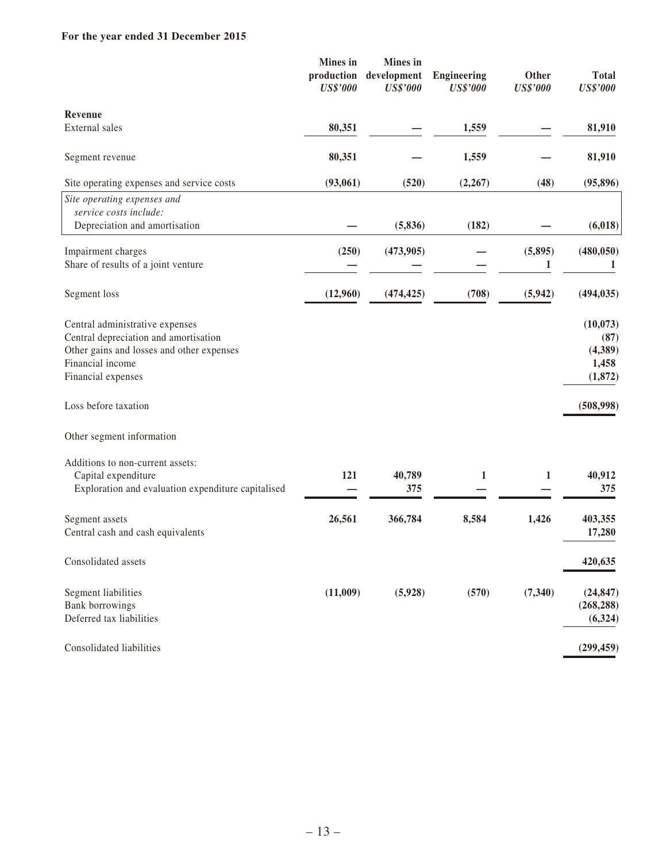### **For the year ended 31 December 2015**

|                                                                                                                                                                 | <b>Mines</b> in<br>production<br><b>US\$'000</b> | <b>Mines</b> in<br>development<br><b>US\$'000</b> | <b>Engineering</b><br><b>US\$'000</b> | Other<br><b>US\$'000</b> | <b>Total</b><br><b>US\$'000</b>                 |
|-----------------------------------------------------------------------------------------------------------------------------------------------------------------|--------------------------------------------------|---------------------------------------------------|---------------------------------------|--------------------------|-------------------------------------------------|
| <b>Revenue</b>                                                                                                                                                  |                                                  |                                                   |                                       |                          |                                                 |
| External sales                                                                                                                                                  | 80,351                                           |                                                   | 1,559                                 |                          | 81,910                                          |
| Segment revenue                                                                                                                                                 | 80,351                                           |                                                   | 1,559                                 |                          | 81,910                                          |
| Site operating expenses and service costs                                                                                                                       | (93,061)                                         | (520)                                             | (2, 267)                              | (48)                     | (95, 896)                                       |
| Site operating expenses and<br>service costs include:<br>Depreciation and amortisation                                                                          |                                                  | (5, 836)                                          | (182)                                 |                          | (6,018)                                         |
|                                                                                                                                                                 |                                                  |                                                   |                                       |                          |                                                 |
| Impairment charges<br>Share of results of a joint venture                                                                                                       | (250)                                            | (473,905)                                         |                                       | (5, 895)<br>1            | (480, 050)<br>1                                 |
| Segment loss                                                                                                                                                    | (12,960)                                         | (474, 425)                                        | (708)                                 | (5,942)                  | (494, 035)                                      |
| Central administrative expenses<br>Central depreciation and amortisation<br>Other gains and losses and other expenses<br>Financial income<br>Financial expenses |                                                  |                                                   |                                       |                          | (10,073)<br>(87)<br>(4,389)<br>1,458<br>(1,872) |
| Loss before taxation                                                                                                                                            |                                                  |                                                   |                                       |                          | (508,998)                                       |
| Other segment information                                                                                                                                       |                                                  |                                                   |                                       |                          |                                                 |
| Additions to non-current assets:<br>Capital expenditure<br>Exploration and evaluation expenditure capitalised                                                   | 121                                              | 40,789<br>375                                     | $\mathbf{1}$                          | 1                        | 40,912<br>375                                   |
| Segment assets<br>Central cash and cash equivalents                                                                                                             | 26,561                                           | 366,784                                           | 8,584                                 | 1,426                    | 403,355<br>17,280                               |
| Consolidated assets                                                                                                                                             |                                                  |                                                   |                                       |                          | 420,635                                         |
| Segment liabilities<br><b>Bank borrowings</b><br>Deferred tax liabilities                                                                                       | (11,009)                                         | (5,928)                                           | (570)                                 | (7, 340)                 | (24, 847)<br>(268, 288)<br>(6, 324)             |
| Consolidated liabilities                                                                                                                                        |                                                  |                                                   |                                       |                          | (299, 459)                                      |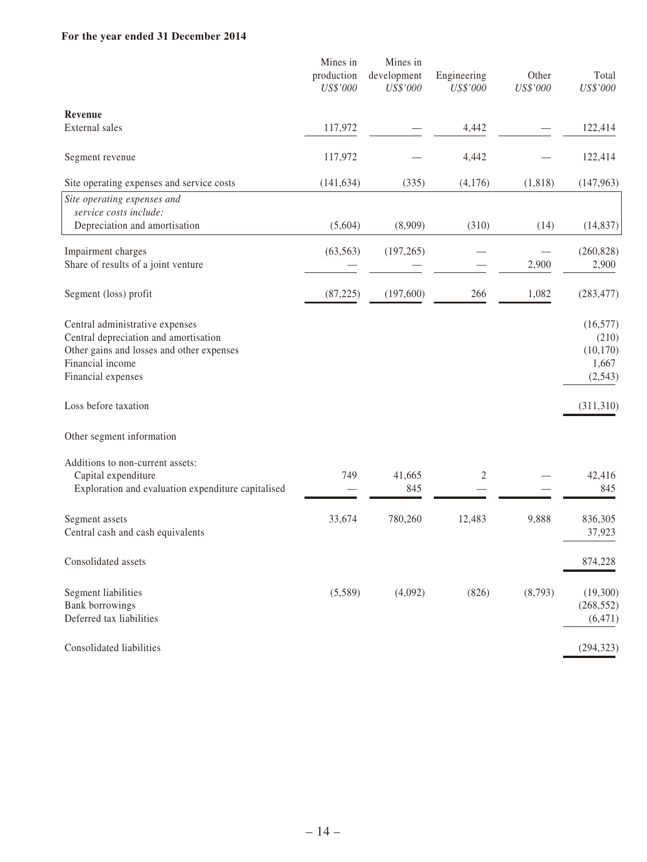### **For the year ended 31 December 2014**

|                                                                                                                                                                 | Mines in<br>production | Mines in<br>development | Engineering | Other    | Total                                               |
|-----------------------------------------------------------------------------------------------------------------------------------------------------------------|------------------------|-------------------------|-------------|----------|-----------------------------------------------------|
|                                                                                                                                                                 | US\$'000               | US\$'000                | US\$'000    | US\$'000 | US\$'000                                            |
| <b>Revenue</b>                                                                                                                                                  |                        |                         |             |          |                                                     |
| External sales                                                                                                                                                  | 117,972                |                         | 4,442       |          | 122,414                                             |
| Segment revenue                                                                                                                                                 | 117,972                |                         | 4,442       |          | 122,414                                             |
| Site operating expenses and service costs                                                                                                                       | (141, 634)             | (335)                   | (4,176)     | (1, 818) | (147,963)                                           |
| Site operating expenses and<br>service costs include:<br>Depreciation and amortisation                                                                          | (5,604)                | (8,909)                 | (310)       | (14)     | (14, 837)                                           |
|                                                                                                                                                                 |                        |                         |             |          |                                                     |
| Impairment charges<br>Share of results of a joint venture                                                                                                       | (63, 563)              | (197, 265)              |             | 2,900    | (260, 828)<br>2,900                                 |
| Segment (loss) profit                                                                                                                                           | (87, 225)              | (197,600)               | 266         | 1,082    | (283, 477)                                          |
| Central administrative expenses<br>Central depreciation and amortisation<br>Other gains and losses and other expenses<br>Financial income<br>Financial expenses |                        |                         |             |          | (16, 577)<br>(210)<br>(10, 170)<br>1,667<br>(2,543) |
| Loss before taxation                                                                                                                                            |                        |                         |             |          | (311,310)                                           |
| Other segment information                                                                                                                                       |                        |                         |             |          |                                                     |
| Additions to non-current assets:<br>Capital expenditure<br>Exploration and evaluation expenditure capitalised                                                   | 749                    | 41,665<br>845           | 2           |          | 42,416<br>845                                       |
| Segment assets<br>Central cash and cash equivalents                                                                                                             | 33,674                 | 780,260                 | 12,483      | 9,888    | 836,305<br>37,923                                   |
| Consolidated assets                                                                                                                                             |                        |                         |             |          | 874,228                                             |
| Segment liabilities<br><b>Bank borrowings</b><br>Deferred tax liabilities                                                                                       | (5,589)                | (4,092)                 | (826)       | (8,793)  | (19,300)<br>(268, 552)<br>(6, 471)                  |
| Consolidated liabilities                                                                                                                                        |                        |                         |             |          | (294, 323)                                          |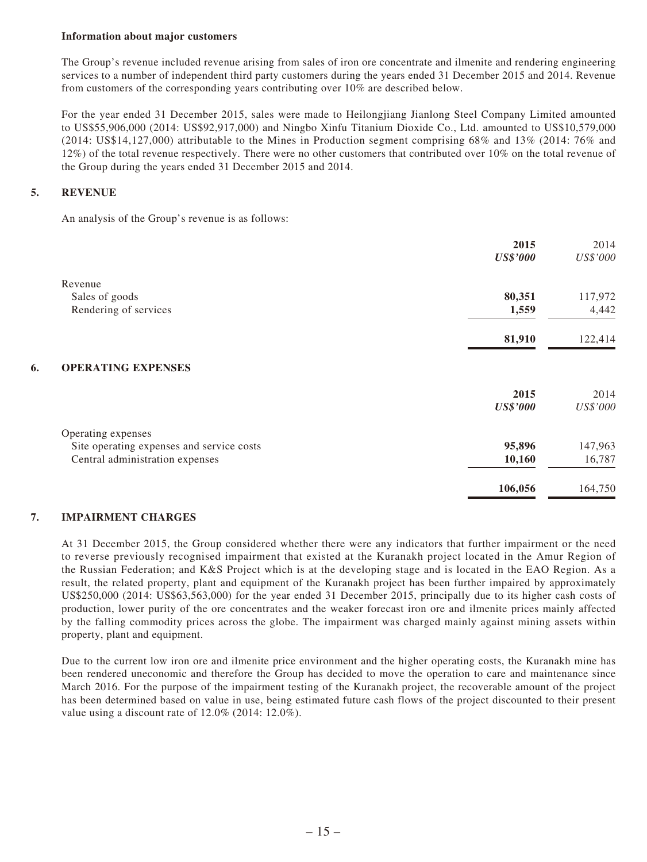#### **Information about major customers**

The Group's revenue included revenue arising from sales of iron ore concentrate and ilmenite and rendering engineering services to a number of independent third party customers during the years ended 31 December 2015 and 2014. Revenue from customers of the corresponding years contributing over 10% are described below.

For the year ended 31 December 2015, sales were made to Heilongjiang Jianlong Steel Company Limited amounted to US\$55,906,000 (2014: US\$92,917,000) and Ningbo Xinfu Titanium Dioxide Co., Ltd. amounted to US\$10,579,000 (2014: US\$14,127,000) attributable to the Mines in Production segment comprising 68% and 13% (2014: 76% and 12%) of the total revenue respectively. There were no other customers that contributed over 10% on the total revenue of the Group during the years ended 31 December 2015 and 2014.

### **5. REVENUE**

An analysis of the Group's revenue is as follows:

|    |                                           | 2015            | 2014     |
|----|-------------------------------------------|-----------------|----------|
|    |                                           | <b>US\$'000</b> | US\$'000 |
|    | Revenue                                   |                 |          |
|    | Sales of goods                            | 80,351          | 117,972  |
|    | Rendering of services                     | 1,559           | 4,442    |
|    |                                           | 81,910          | 122,414  |
| 6. | <b>OPERATING EXPENSES</b>                 |                 |          |
|    |                                           | 2015            | 2014     |
|    |                                           | <b>US\$'000</b> | US\$'000 |
|    | Operating expenses                        |                 |          |
|    | Site operating expenses and service costs | 95,896          | 147,963  |
|    | Central administration expenses           | 10,160          | 16,787   |
|    |                                           | 106,056         | 164,750  |

#### **7. IMPAIRMENT CHARGES**

At 31 December 2015, the Group considered whether there were any indicators that further impairment or the need to reverse previously recognised impairment that existed at the Kuranakh project located in the Amur Region of the Russian Federation; and K&S Project which is at the developing stage and is located in the EAO Region. As a result, the related property, plant and equipment of the Kuranakh project has been further impaired by approximately US\$250,000 (2014: US\$63,563,000) for the year ended 31 December 2015, principally due to its higher cash costs of production, lower purity of the ore concentrates and the weaker forecast iron ore and ilmenite prices mainly affected by the falling commodity prices across the globe. The impairment was charged mainly against mining assets within property, plant and equipment.

Due to the current low iron ore and ilmenite price environment and the higher operating costs, the Kuranakh mine has been rendered uneconomic and therefore the Group has decided to move the operation to care and maintenance since March 2016. For the purpose of the impairment testing of the Kuranakh project, the recoverable amount of the project has been determined based on value in use, being estimated future cash flows of the project discounted to their present value using a discount rate of 12.0% (2014: 12.0%).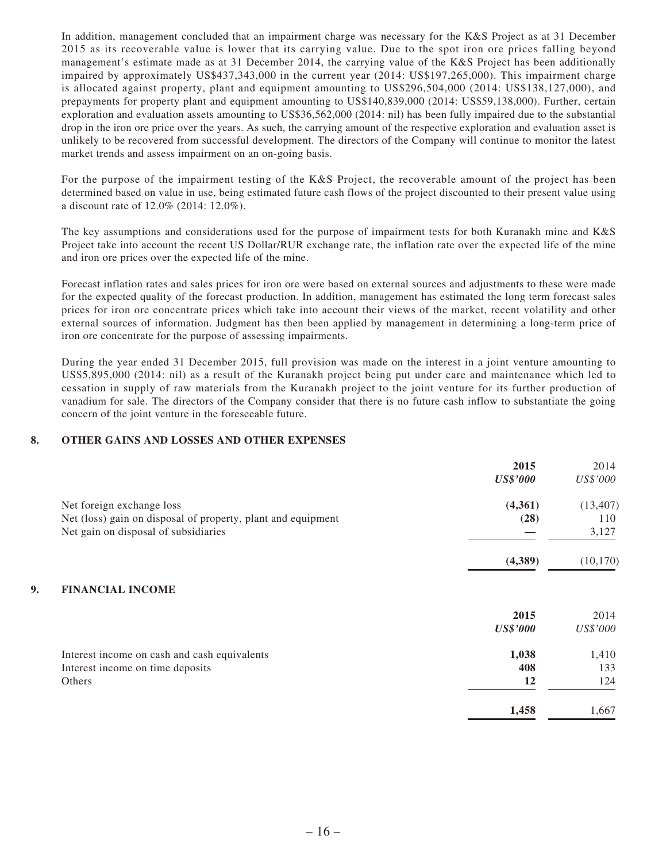In addition, management concluded that an impairment charge was necessary for the K&S Project as at 31 December 2015 as its recoverable value is lower that its carrying value. Due to the spot iron ore prices falling beyond management's estimate made as at 31 December 2014, the carrying value of the K&S Project has been additionally impaired by approximately US\$437,343,000 in the current year (2014: US\$197,265,000). This impairment charge is allocated against property, plant and equipment amounting to US\$296,504,000 (2014: US\$138,127,000), and prepayments for property plant and equipment amounting to US\$140,839,000 (2014: US\$59,138,000). Further, certain exploration and evaluation assets amounting to US\$36,562,000 (2014: nil) has been fully impaired due to the substantial drop in the iron ore price over the years. As such, the carrying amount of the respective exploration and evaluation asset is unlikely to be recovered from successful development. The directors of the Company will continue to monitor the latest market trends and assess impairment on an on-going basis.

For the purpose of the impairment testing of the K&S Project, the recoverable amount of the project has been determined based on value in use, being estimated future cash flows of the project discounted to their present value using a discount rate of 12.0% (2014: 12.0%).

The key assumptions and considerations used for the purpose of impairment tests for both Kuranakh mine and K&S Project take into account the recent US Dollar/RUR exchange rate, the inflation rate over the expected life of the mine and iron ore prices over the expected life of the mine.

Forecast inflation rates and sales prices for iron ore were based on external sources and adjustments to these were made for the expected quality of the forecast production. In addition, management has estimated the long term forecast sales prices for iron ore concentrate prices which take into account their views of the market, recent volatility and other external sources of information. Judgment has then been applied by management in determining a long-term price of iron ore concentrate for the purpose of assessing impairments.

During the year ended 31 December 2015, full provision was made on the interest in a joint venture amounting to US\$5,895,000 (2014: nil) as a result of the Kuranakh project being put under care and maintenance which led to cessation in supply of raw materials from the Kuranakh project to the joint venture for its further production of vanadium for sale. The directors of the Company consider that there is no future cash inflow to substantiate the going concern of the joint venture in the foreseeable future.

#### **8. OTHER GAINS AND LOSSES AND OTHER EXPENSES**

|                                                              | 2015            | 2014      |
|--------------------------------------------------------------|-----------------|-----------|
|                                                              | <b>US\$'000</b> | US\$'000  |
| Net foreign exchange loss                                    | (4,361)         | (13, 407) |
| Net (loss) gain on disposal of property, plant and equipment | (28)            | 110       |
| Net gain on disposal of subsidiaries                         |                 | 3,127     |
|                                                              | (4,389)         | (10, 170) |
| <b>FINANCIAL INCOME</b><br>9.                                |                 |           |
|                                                              | 2015            | 2014      |
|                                                              | <b>US\$'000</b> | US\$'000  |
| Interest income on cash and cash equivalents                 | 1,038           | 1,410     |
| Interest income on time deposits                             | 408             | 133       |
| Others                                                       | 12              | 124       |
|                                                              | 1,458           | 1,667     |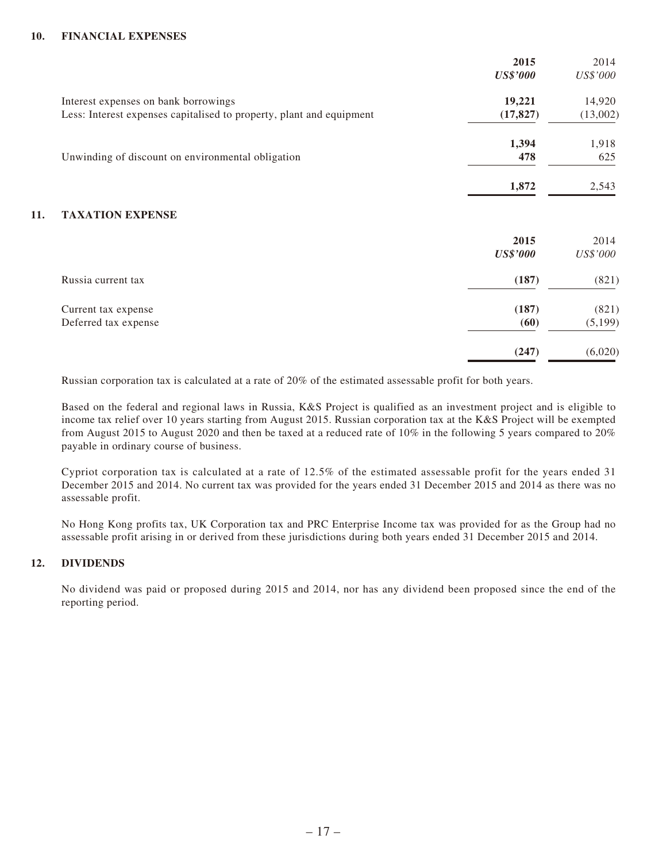### **10. FINANCIAL EXPENSES**

|     |                                                                      | 2015<br><b>US\$'000</b> | 2014<br>US\$'000 |
|-----|----------------------------------------------------------------------|-------------------------|------------------|
|     | Interest expenses on bank borrowings                                 | 19,221                  | 14,920           |
|     | Less: Interest expenses capitalised to property, plant and equipment | (17, 827)               | (13,002)         |
|     |                                                                      | 1,394                   | 1,918            |
|     | Unwinding of discount on environmental obligation                    | 478                     | 625              |
|     |                                                                      | 1,872                   | 2,543            |
| 11. | <b>TAXATION EXPENSE</b>                                              |                         |                  |
|     |                                                                      | 2015<br><b>US\$'000</b> | 2014<br>US\$'000 |
|     | Russia current tax                                                   | (187)                   | (821)            |
|     | Current tax expense                                                  | (187)                   | (821)            |
|     | Deferred tax expense                                                 | (60)                    | (5,199)          |
|     |                                                                      | (247)                   | (6,020)          |

Russian corporation tax is calculated at a rate of 20% of the estimated assessable profit for both years.

Based on the federal and regional laws in Russia, K&S Project is qualified as an investment project and is eligible to income tax relief over 10 years starting from August 2015. Russian corporation tax at the K&S Project will be exempted from August 2015 to August 2020 and then be taxed at a reduced rate of 10% in the following 5 years compared to 20% payable in ordinary course of business.

Cypriot corporation tax is calculated at a rate of 12.5% of the estimated assessable profit for the years ended 31 December 2015 and 2014. No current tax was provided for the years ended 31 December 2015 and 2014 as there was no assessable profit.

No Hong Kong profits tax, UK Corporation tax and PRC Enterprise Income tax was provided for as the Group had no assessable profit arising in or derived from these jurisdictions during both years ended 31 December 2015 and 2014.

### **12. DIVIDENDS**

No dividend was paid or proposed during 2015 and 2014, nor has any dividend been proposed since the end of the reporting period.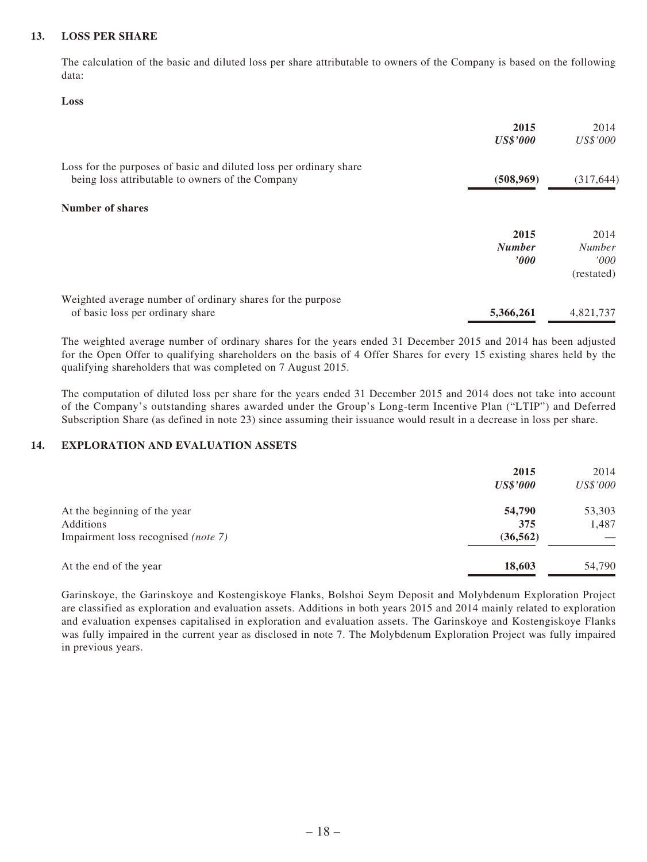#### **13. LOSS PER SHARE**

The calculation of the basic and diluted loss per share attributable to owners of the Company is based on the following data:

#### **Loss**

|                                                                                                                        | 2015            | 2014                |
|------------------------------------------------------------------------------------------------------------------------|-----------------|---------------------|
|                                                                                                                        | <b>US\$'000</b> | US\$'000            |
| Loss for the purposes of basic and diluted loss per ordinary share<br>being loss attributable to owners of the Company | (508, 969)      | (317, 644)          |
| Number of shares                                                                                                       |                 |                     |
|                                                                                                                        | 2015            | 2014                |
|                                                                                                                        | <b>Number</b>   | <b>Number</b>       |
|                                                                                                                        | $\bm{v}$        | '000'<br>(restated) |
| Weighted average number of ordinary shares for the purpose                                                             |                 |                     |
| of basic loss per ordinary share                                                                                       | 5,366,261       | 4,821,737           |

The weighted average number of ordinary shares for the years ended 31 December 2015 and 2014 has been adjusted for the Open Offer to qualifying shareholders on the basis of 4 Offer Shares for every 15 existing shares held by the qualifying shareholders that was completed on 7 August 2015.

The computation of diluted loss per share for the years ended 31 December 2015 and 2014 does not take into account of the Company's outstanding shares awarded under the Group's Long-term Incentive Plan ("LTIP") and Deferred Subscription Share (as defined in note 23) since assuming their issuance would result in a decrease in loss per share.

### **14. EXPLORATION AND EVALUATION ASSETS**

|                                     | 2015<br><b>US\$'000</b> | 2014<br>US\$'000 |
|-------------------------------------|-------------------------|------------------|
| At the beginning of the year        | 54,790                  | 53,303           |
| Additions                           | 375                     | 1,487            |
| Impairment loss recognised (note 7) | (36, 562)               |                  |
| At the end of the year              | 18,603                  | 54,790           |

Garinskoye, the Garinskoye and Kostengiskoye Flanks, Bolshoi Seym Deposit and Molybdenum Exploration Project are classified as exploration and evaluation assets. Additions in both years 2015 and 2014 mainly related to exploration and evaluation expenses capitalised in exploration and evaluation assets. The Garinskoye and Kostengiskoye Flanks was fully impaired in the current year as disclosed in note 7. The Molybdenum Exploration Project was fully impaired in previous years.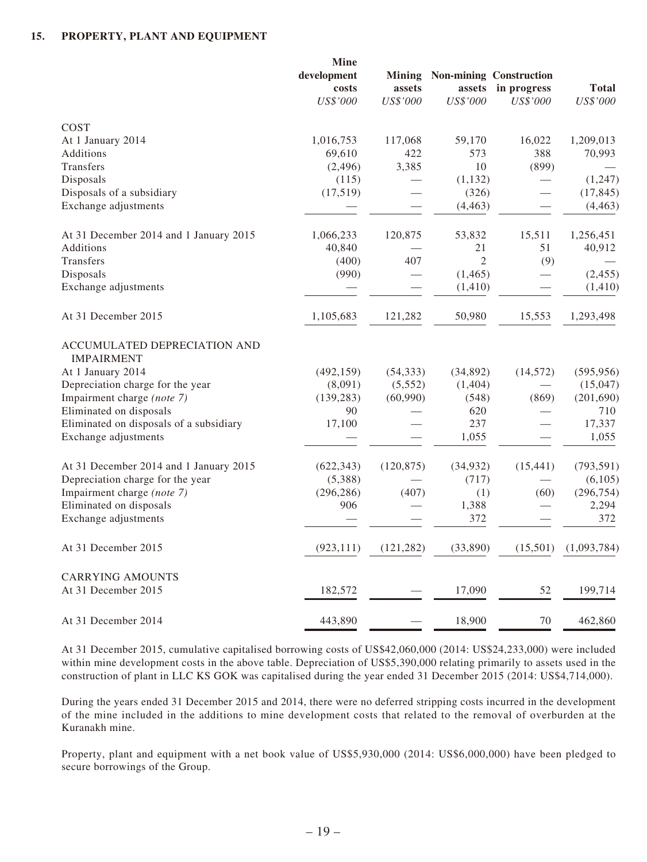#### **15. PROPERTY, PLANT AND EQUIPMENT**

|                                                   | <b>Mine</b><br>development<br>costs<br>US\$'000 | assets<br>US\$'000 | assets<br>US\$'000 | <b>Mining Non-mining Construction</b><br>in progress<br>US\$'000 | <b>Total</b><br>US\$'000 |
|---------------------------------------------------|-------------------------------------------------|--------------------|--------------------|------------------------------------------------------------------|--------------------------|
| COST                                              |                                                 |                    |                    |                                                                  |                          |
| At 1 January 2014                                 | 1,016,753                                       | 117,068            | 59,170             | 16,022                                                           | 1,209,013                |
| Additions                                         | 69,610                                          | 422                | 573                | 388                                                              | 70,993                   |
| Transfers                                         | (2,496)                                         | 3,385              | 10                 | (899)                                                            |                          |
| Disposals                                         | (115)                                           |                    | (1, 132)           |                                                                  | (1,247)                  |
| Disposals of a subsidiary                         | (17,519)                                        |                    | (326)              |                                                                  | (17, 845)                |
| Exchange adjustments                              |                                                 |                    | (4, 463)           |                                                                  | (4, 463)                 |
| At 31 December 2014 and 1 January 2015            | 1,066,233                                       | 120,875            | 53,832             | 15,511                                                           | 1,256,451                |
| Additions                                         | 40,840                                          |                    | 21                 | 51                                                               | 40,912                   |
| Transfers                                         | (400)                                           | 407                | $\mathfrak{2}$     | (9)                                                              |                          |
| Disposals                                         | (990)                                           |                    | (1, 465)           |                                                                  | (2, 455)                 |
| Exchange adjustments                              |                                                 |                    | (1, 410)           |                                                                  | (1, 410)                 |
| At 31 December 2015                               | 1,105,683                                       | 121,282            | 50,980             | 15,553                                                           | 1,293,498                |
| ACCUMULATED DEPRECIATION AND<br><b>IMPAIRMENT</b> |                                                 |                    |                    |                                                                  |                          |
| At 1 January 2014                                 | (492, 159)                                      | (54, 333)          | (34,892)           | (14, 572)                                                        | (595, 956)               |
| Depreciation charge for the year                  | (8,091)                                         | (5,552)            | (1,404)            |                                                                  | (15,047)                 |
| Impairment charge (note 7)                        | (139, 283)                                      | (60,990)           | (548)              | (869)                                                            | (201, 690)               |
| Eliminated on disposals                           | 90                                              |                    | 620                |                                                                  | 710                      |
| Eliminated on disposals of a subsidiary           | 17,100                                          |                    | 237                |                                                                  | 17,337                   |
| Exchange adjustments                              |                                                 |                    | 1,055              |                                                                  | 1,055                    |
| At 31 December 2014 and 1 January 2015            | (622, 343)                                      | (120, 875)         | (34, 932)          | (15, 441)                                                        | (793, 591)               |
| Depreciation charge for the year                  | (5,388)                                         |                    | (717)              |                                                                  | (6,105)                  |
| Impairment charge (note 7)                        | (296, 286)                                      | (407)              | (1)                | (60)                                                             | (296, 754)               |
| Eliminated on disposals                           | 906                                             |                    | 1,388              |                                                                  | 2,294                    |
| Exchange adjustments                              |                                                 |                    | 372                |                                                                  | 372                      |
| At 31 December 2015                               | (923, 111)                                      | (121, 282)         | (33,890)           | (15,501)                                                         | (1,093,784)              |
| <b>CARRYING AMOUNTS</b>                           |                                                 |                    |                    |                                                                  |                          |
| At 31 December 2015                               | 182,572                                         |                    | 17,090             | 52                                                               | 199,714                  |
| At 31 December 2014                               | 443,890                                         |                    | 18,900             | 70                                                               | 462,860                  |

At 31 December 2015, cumulative capitalised borrowing costs of US\$42,060,000 (2014: US\$24,233,000) were included within mine development costs in the above table. Depreciation of US\$5,390,000 relating primarily to assets used in the construction of plant in LLC KS GOK was capitalised during the year ended 31 December 2015 (2014: US\$4,714,000).

During the years ended 31 December 2015 and 2014, there were no deferred stripping costs incurred in the development of the mine included in the additions to mine development costs that related to the removal of overburden at the Kuranakh mine.

Property, plant and equipment with a net book value of US\$5,930,000 (2014: US\$6,000,000) have been pledged to secure borrowings of the Group.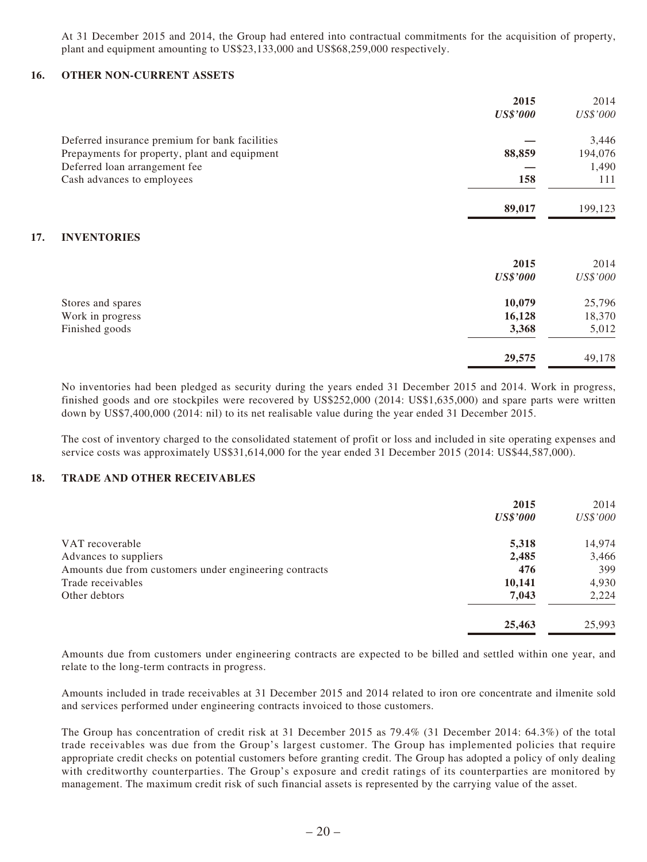At 31 December 2015 and 2014, the Group had entered into contractual commitments for the acquisition of property, plant and equipment amounting to US\$23,133,000 and US\$68,259,000 respectively.

#### **16. OTHER NON-CURRENT ASSETS**

**17.** 

|                                                | 2015                   | 2014     |
|------------------------------------------------|------------------------|----------|
|                                                | <b>US\$'000</b>        | US\$'000 |
| Deferred insurance premium for bank facilities |                        | 3,446    |
| Prepayments for property, plant and equipment  | 88,859                 | 194,076  |
| Deferred loan arrangement fee                  |                        | 1,490    |
| Cash advances to employees                     | 158                    | 111      |
|                                                | 89,017                 | 199,123  |
| <b>INVENTORIES</b>                             |                        |          |
|                                                | 2015                   | 2014     |
|                                                | <i><b>US\$'000</b></i> | US\$'000 |
| Stores and spares                              | 10,079                 | 25,796   |
| Work in progress                               | 16,128                 | 18,370   |
| Finished goods                                 | 3,368                  | 5,012    |
|                                                | 29,575                 | 49,178   |

No inventories had been pledged as security during the years ended 31 December 2015 and 2014. Work in progress, finished goods and ore stockpiles were recovered by US\$252,000 (2014: US\$1,635,000) and spare parts were written down by US\$7,400,000 (2014: nil) to its net realisable value during the year ended 31 December 2015.

The cost of inventory charged to the consolidated statement of profit or loss and included in site operating expenses and service costs was approximately US\$31,614,000 for the year ended 31 December 2015 (2014: US\$44,587,000).

#### **18. TRADE AND OTHER RECEIVABLES**

|                                                        | 2015            | 2014     |
|--------------------------------------------------------|-----------------|----------|
|                                                        | <b>US\$'000</b> | US\$'000 |
| VAT recoverable                                        | 5,318           | 14,974   |
| Advances to suppliers                                  | 2,485           | 3,466    |
| Amounts due from customers under engineering contracts | 476             | 399      |
| Trade receivables                                      | 10,141          | 4,930    |
| Other debtors                                          | 7,043           | 2,224    |
|                                                        | 25,463          | 25,993   |

Amounts due from customers under engineering contracts are expected to be billed and settled within one year, and relate to the long-term contracts in progress.

Amounts included in trade receivables at 31 December 2015 and 2014 related to iron ore concentrate and ilmenite sold and services performed under engineering contracts invoiced to those customers.

The Group has concentration of credit risk at 31 December 2015 as 79.4% (31 December 2014: 64.3%) of the total trade receivables was due from the Group's largest customer. The Group has implemented policies that require appropriate credit checks on potential customers before granting credit. The Group has adopted a policy of only dealing with creditworthy counterparties. The Group's exposure and credit ratings of its counterparties are monitored by management. The maximum credit risk of such financial assets is represented by the carrying value of the asset.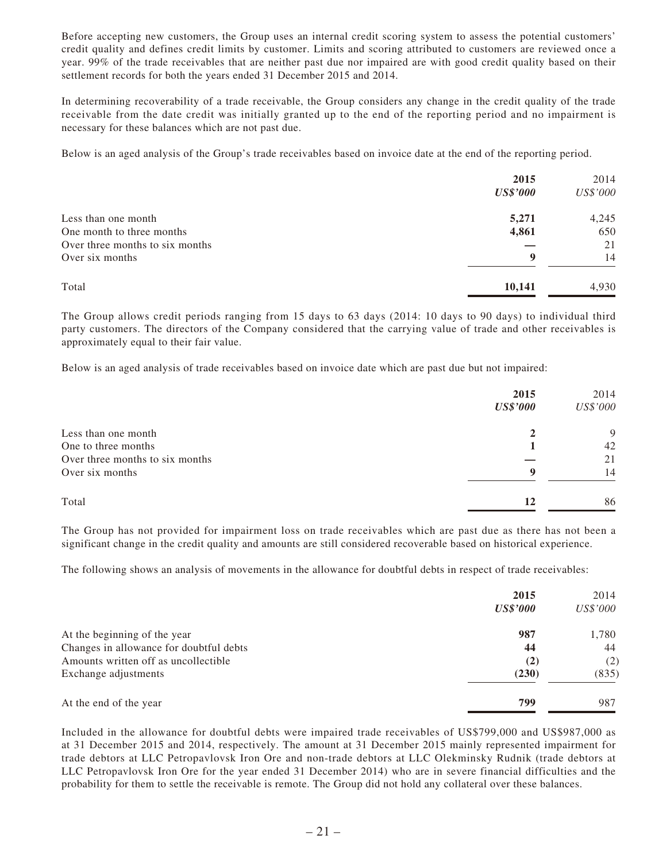Before accepting new customers, the Group uses an internal credit scoring system to assess the potential customers' credit quality and defines credit limits by customer. Limits and scoring attributed to customers are reviewed once a year. 99% of the trade receivables that are neither past due nor impaired are with good credit quality based on their settlement records for both the years ended 31 December 2015 and 2014.

In determining recoverability of a trade receivable, the Group considers any change in the credit quality of the trade receivable from the date credit was initially granted up to the end of the reporting period and no impairment is necessary for these balances which are not past due.

Below is an aged analysis of the Group's trade receivables based on invoice date at the end of the reporting period.

|                                 | 2015            | 2014     |
|---------------------------------|-----------------|----------|
|                                 | <b>US\$'000</b> | US\$'000 |
| Less than one month             | 5,271           | 4,245    |
| One month to three months       | 4,861           | 650      |
| Over three months to six months |                 | 21       |
| Over six months                 | 9               | 14       |
| Total                           | 10,141          | 4,930    |

The Group allows credit periods ranging from 15 days to 63 days (2014: 10 days to 90 days) to individual third party customers. The directors of the Company considered that the carrying value of trade and other receivables is approximately equal to their fair value.

Below is an aged analysis of trade receivables based on invoice date which are past due but not impaired:

|                                 | 2015<br><b>US\$'000</b> | 2014<br>US\$'000 |
|---------------------------------|-------------------------|------------------|
| Less than one month             | 2                       | 9                |
| One to three months             |                         | 42               |
| Over three months to six months |                         | 21               |
| Over six months                 | 9                       | 14               |
| Total                           | 12                      | 86               |

The Group has not provided for impairment loss on trade receivables which are past due as there has not been a significant change in the credit quality and amounts are still considered recoverable based on historical experience.

The following shows an analysis of movements in the allowance for doubtful debts in respect of trade receivables:

|                                         | 2015            | 2014     |
|-----------------------------------------|-----------------|----------|
|                                         | <b>US\$'000</b> | US\$'000 |
| At the beginning of the year            | 987             | 1,780    |
| Changes in allowance for doubtful debts | 44              | 44       |
| Amounts written off as uncollectible    | (2)             | (2)      |
| Exchange adjustments                    | (230)           | (835)    |
| At the end of the year                  | 799             | 987      |

Included in the allowance for doubtful debts were impaired trade receivables of US\$799,000 and US\$987,000 as at 31 December 2015 and 2014, respectively. The amount at 31 December 2015 mainly represented impairment for trade debtors at LLC Petropavlovsk Iron Ore and non-trade debtors at LLC Olekminsky Rudnik (trade debtors at LLC Petropavlovsk Iron Ore for the year ended 31 December 2014) who are in severe financial difficulties and the probability for them to settle the receivable is remote. The Group did not hold any collateral over these balances.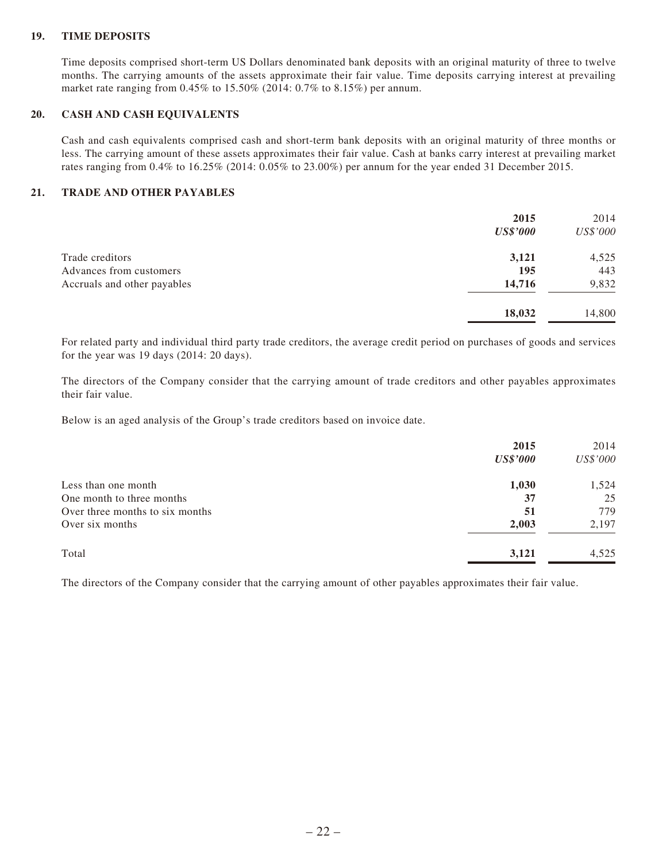### **19. TIME DEPOSITS**

Time deposits comprised short-term US Dollars denominated bank deposits with an original maturity of three to twelve months. The carrying amounts of the assets approximate their fair value. Time deposits carrying interest at prevailing market rate ranging from 0.45% to 15.50% (2014: 0.7% to 8.15%) per annum.

#### **20. CASH AND CASH EQUIVALENTS**

Cash and cash equivalents comprised cash and short-term bank deposits with an original maturity of three months or less. The carrying amount of these assets approximates their fair value. Cash at banks carry interest at prevailing market rates ranging from 0.4% to 16.25% (2014: 0.05% to 23.00%) per annum for the year ended 31 December 2015.

#### **21. TRADE AND OTHER PAYABLES**

|                             | 2015<br><b>US\$'000</b> | 2014<br>US\$'000 |
|-----------------------------|-------------------------|------------------|
| Trade creditors             | 3,121                   | 4,525            |
| Advances from customers     | 195                     | 443              |
| Accruals and other payables | 14,716                  | 9,832            |
|                             | 18,032                  | 14,800           |

For related party and individual third party trade creditors, the average credit period on purchases of goods and services for the year was 19 days (2014: 20 days).

The directors of the Company consider that the carrying amount of trade creditors and other payables approximates their fair value.

Below is an aged analysis of the Group's trade creditors based on invoice date.

|                                 | 2015            | 2014     |
|---------------------------------|-----------------|----------|
|                                 | <b>US\$'000</b> | US\$'000 |
| Less than one month             | 1,030           | 1,524    |
| One month to three months       | 37              | 25       |
| Over three months to six months | 51              | 779      |
| Over six months                 | 2,003           | 2,197    |
| Total                           | 3,121           | 4,525    |

The directors of the Company consider that the carrying amount of other payables approximates their fair value.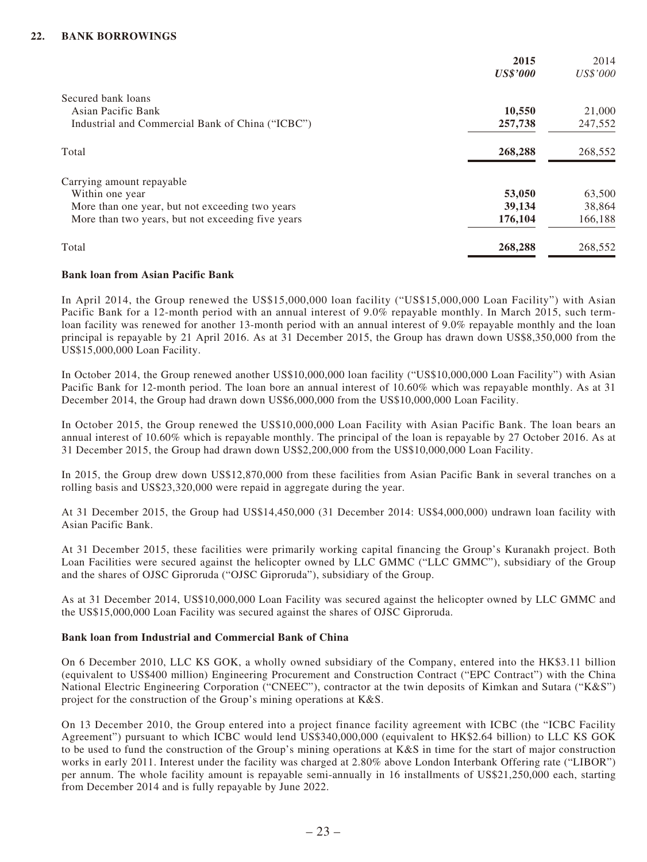|                                                   | 2015            | 2014     |
|---------------------------------------------------|-----------------|----------|
|                                                   | <b>US\$'000</b> | US\$'000 |
| Secured bank loans                                |                 |          |
| Asian Pacific Bank                                | 10,550          | 21,000   |
| Industrial and Commercial Bank of China ("ICBC")  | 257,738         | 247,552  |
| Total                                             | 268,288         | 268,552  |
| Carrying amount repayable                         |                 |          |
| Within one year                                   | 53,050          | 63,500   |
| More than one year, but not exceeding two years   | 39,134          | 38,864   |
| More than two years, but not exceeding five years | 176,104         | 166,188  |
| Total                                             | 268,288         | 268,552  |

#### **Bank loan from Asian Pacific Bank**

In April 2014, the Group renewed the US\$15,000,000 loan facility ("US\$15,000,000 Loan Facility") with Asian Pacific Bank for a 12-month period with an annual interest of 9.0% repayable monthly. In March 2015, such termloan facility was renewed for another 13-month period with an annual interest of 9.0% repayable monthly and the loan principal is repayable by 21 April 2016. As at 31 December 2015, the Group has drawn down US\$8,350,000 from the US\$15,000,000 Loan Facility.

In October 2014, the Group renewed another US\$10,000,000 loan facility ("US\$10,000,000 Loan Facility") with Asian Pacific Bank for 12-month period. The loan bore an annual interest of 10.60% which was repayable monthly. As at 31 December 2014, the Group had drawn down US\$6,000,000 from the US\$10,000,000 Loan Facility.

In October 2015, the Group renewed the US\$10,000,000 Loan Facility with Asian Pacific Bank. The loan bears an annual interest of 10.60% which is repayable monthly. The principal of the loan is repayable by 27 October 2016. As at 31 December 2015, the Group had drawn down US\$2,200,000 from the US\$10,000,000 Loan Facility.

In 2015, the Group drew down US\$12,870,000 from these facilities from Asian Pacific Bank in several tranches on a rolling basis and US\$23,320,000 were repaid in aggregate during the year.

At 31 December 2015, the Group had US\$14,450,000 (31 December 2014: US\$4,000,000) undrawn loan facility with Asian Pacific Bank.

At 31 December 2015, these facilities were primarily working capital financing the Group's Kuranakh project. Both Loan Facilities were secured against the helicopter owned by LLC GMMC ("LLC GMMC"), subsidiary of the Group and the shares of OJSC Giproruda ("OJSC Giproruda"), subsidiary of the Group.

As at 31 December 2014, US\$10,000,000 Loan Facility was secured against the helicopter owned by LLC GMMC and the US\$15,000,000 Loan Facility was secured against the shares of OJSC Giproruda.

#### **Bank loan from Industrial and Commercial Bank of China**

On 6 December 2010, LLC KS GOK, a wholly owned subsidiary of the Company, entered into the HK\$3.11 billion (equivalent to US\$400 million) Engineering Procurement and Construction Contract ("EPC Contract") with the China National Electric Engineering Corporation ("CNEEC"), contractor at the twin deposits of Kimkan and Sutara ("K&S") project for the construction of the Group's mining operations at K&S.

On 13 December 2010, the Group entered into a project finance facility agreement with ICBC (the "ICBC Facility Agreement") pursuant to which ICBC would lend US\$340,000,000 (equivalent to HK\$2.64 billion) to LLC KS GOK to be used to fund the construction of the Group's mining operations at K&S in time for the start of major construction works in early 2011. Interest under the facility was charged at 2.80% above London Interbank Offering rate ("LIBOR") per annum. The whole facility amount is repayable semi-annually in 16 installments of US\$21,250,000 each, starting from December 2014 and is fully repayable by June 2022.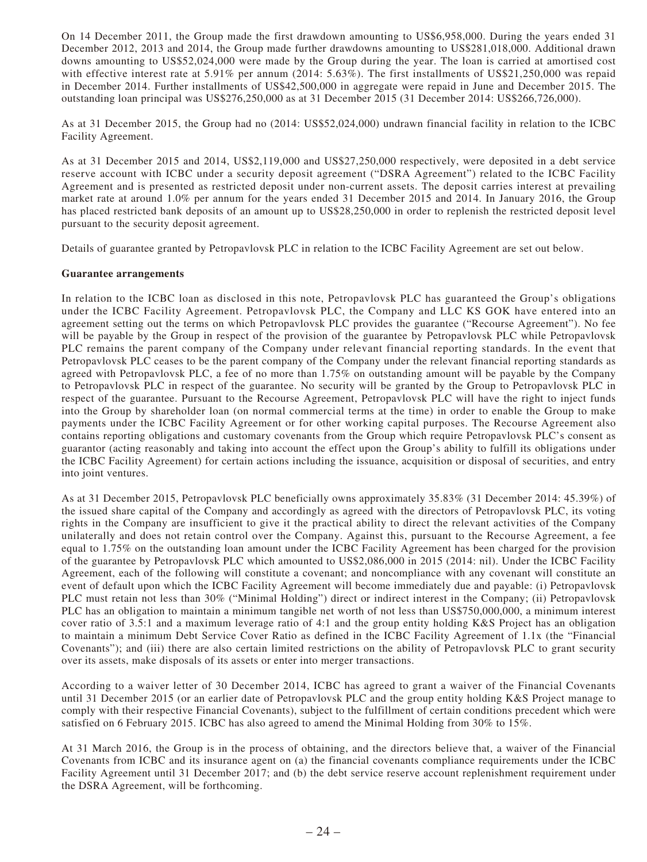On 14 December 2011, the Group made the first drawdown amounting to US\$6,958,000. During the years ended 31 December 2012, 2013 and 2014, the Group made further drawdowns amounting to US\$281,018,000. Additional drawn downs amounting to US\$52,024,000 were made by the Group during the year. The loan is carried at amortised cost with effective interest rate at 5.91% per annum (2014: 5.63%). The first installments of US\$21,250,000 was repaid in December 2014. Further installments of US\$42,500,000 in aggregate were repaid in June and December 2015. The outstanding loan principal was US\$276,250,000 as at 31 December 2015 (31 December 2014: US\$266,726,000).

As at 31 December 2015, the Group had no (2014: US\$52,024,000) undrawn financial facility in relation to the ICBC Facility Agreement.

As at 31 December 2015 and 2014, US\$2,119,000 and US\$27,250,000 respectively, were deposited in a debt service reserve account with ICBC under a security deposit agreement ("DSRA Agreement") related to the ICBC Facility Agreement and is presented as restricted deposit under non-current assets. The deposit carries interest at prevailing market rate at around 1.0% per annum for the years ended 31 December 2015 and 2014. In January 2016, the Group has placed restricted bank deposits of an amount up to US\$28,250,000 in order to replenish the restricted deposit level pursuant to the security deposit agreement.

Details of guarantee granted by Petropavlovsk PLC in relation to the ICBC Facility Agreement are set out below.

#### **Guarantee arrangements**

In relation to the ICBC loan as disclosed in this note, Petropavlovsk PLC has guaranteed the Group's obligations under the ICBC Facility Agreement. Petropavlovsk PLC, the Company and LLC KS GOK have entered into an agreement setting out the terms on which Petropavlovsk PLC provides the guarantee ("Recourse Agreement"). No fee will be payable by the Group in respect of the provision of the guarantee by Petropavlovsk PLC while Petropavlovsk PLC remains the parent company of the Company under relevant financial reporting standards. In the event that Petropavlovsk PLC ceases to be the parent company of the Company under the relevant financial reporting standards as agreed with Petropavlovsk PLC, a fee of no more than 1.75% on outstanding amount will be payable by the Company to Petropavlovsk PLC in respect of the guarantee. No security will be granted by the Group to Petropavlovsk PLC in respect of the guarantee. Pursuant to the Recourse Agreement, Petropavlovsk PLC will have the right to inject funds into the Group by shareholder loan (on normal commercial terms at the time) in order to enable the Group to make payments under the ICBC Facility Agreement or for other working capital purposes. The Recourse Agreement also contains reporting obligations and customary covenants from the Group which require Petropavlovsk PLC's consent as guarantor (acting reasonably and taking into account the effect upon the Group's ability to fulfill its obligations under the ICBC Facility Agreement) for certain actions including the issuance, acquisition or disposal of securities, and entry into joint ventures.

As at 31 December 2015, Petropavlovsk PLC beneficially owns approximately 35.83% (31 December 2014: 45.39%) of the issued share capital of the Company and accordingly as agreed with the directors of Petropavlovsk PLC, its voting rights in the Company are insufficient to give it the practical ability to direct the relevant activities of the Company unilaterally and does not retain control over the Company. Against this, pursuant to the Recourse Agreement, a fee equal to 1.75% on the outstanding loan amount under the ICBC Facility Agreement has been charged for the provision of the guarantee by Petropavlovsk PLC which amounted to US\$2,086,000 in 2015 (2014: nil). Under the ICBC Facility Agreement, each of the following will constitute a covenant; and noncompliance with any covenant will constitute an event of default upon which the ICBC Facility Agreement will become immediately due and payable: (i) Petropavlovsk PLC must retain not less than 30% ("Minimal Holding") direct or indirect interest in the Company; (ii) Petropavlovsk PLC has an obligation to maintain a minimum tangible net worth of not less than US\$750,000,000, a minimum interest cover ratio of 3.5:1 and a maximum leverage ratio of 4:1 and the group entity holding K&S Project has an obligation to maintain a minimum Debt Service Cover Ratio as defined in the ICBC Facility Agreement of 1.1x (the "Financial Covenants"); and (iii) there are also certain limited restrictions on the ability of Petropavlovsk PLC to grant security over its assets, make disposals of its assets or enter into merger transactions.

According to a waiver letter of 30 December 2014, ICBC has agreed to grant a waiver of the Financial Covenants until 31 December 2015 (or an earlier date of Petropavlovsk PLC and the group entity holding K&S Project manage to comply with their respective Financial Covenants), subject to the fulfillment of certain conditions precedent which were satisfied on 6 February 2015. ICBC has also agreed to amend the Minimal Holding from 30% to 15%.

At 31 March 2016, the Group is in the process of obtaining, and the directors believe that, a waiver of the Financial Covenants from ICBC and its insurance agent on (a) the financial covenants compliance requirements under the ICBC Facility Agreement until 31 December 2017; and (b) the debt service reserve account replenishment requirement under the DSRA Agreement, will be forthcoming.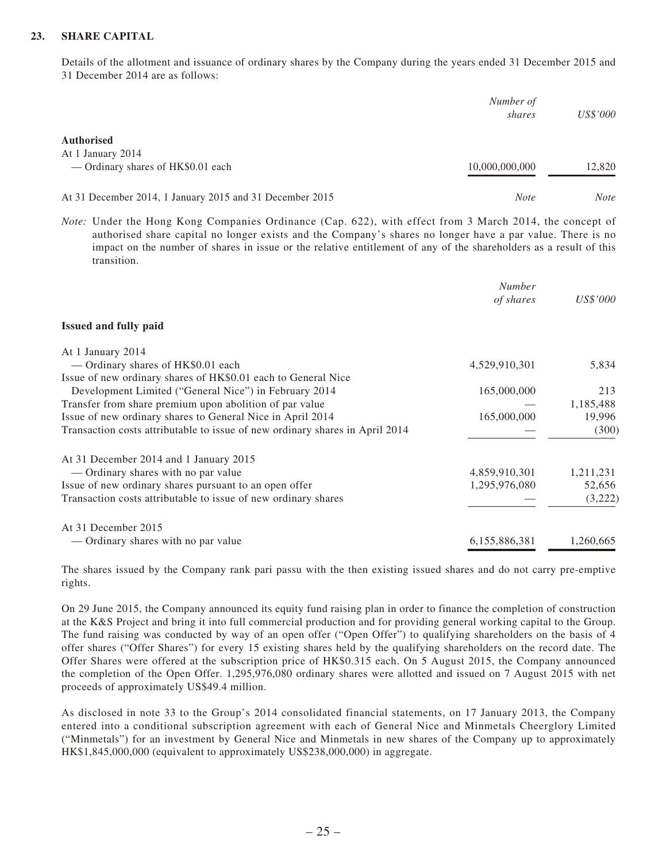### **23. SHARE CAPITAL**

Details of the allotment and issuance of ordinary shares by the Company during the years ended 31 December 2015 and 31 December 2014 are as follows:

|                                                          | Number of<br>shares | <i>US\$'000</i> |
|----------------------------------------------------------|---------------------|-----------------|
| <b>Authorised</b><br>At 1 January 2014                   |                     |                 |
| — Ordinary shares of HK\$0.01 each                       | 10,000,000,000      | 12.820          |
| At 31 December 2014, 1 January 2015 and 31 December 2015 | <b>Note</b>         | <b>Note</b>     |

*Note:* Under the Hong Kong Companies Ordinance (Cap. 622), with effect from 3 March 2014, the concept of authorised share capital no longer exists and the Company's shares no longer have a par value. There is no impact on the number of shares in issue or the relative entitlement of any of the shareholders as a result of this transition.

|                                                                              | <b>Number</b> |           |
|------------------------------------------------------------------------------|---------------|-----------|
|                                                                              | of shares     | US\$'000  |
| <b>Issued and fully paid</b>                                                 |               |           |
| At 1 January 2014                                                            |               |           |
| — Ordinary shares of HK\$0.01 each                                           | 4,529,910,301 | 5,834     |
| Issue of new ordinary shares of HK\$0.01 each to General Nice                |               |           |
| Development Limited ("General Nice") in February 2014                        | 165,000,000   | 213       |
| Transfer from share premium upon abolition of par value                      |               | 1,185,488 |
| Issue of new ordinary shares to General Nice in April 2014                   | 165,000,000   | 19,996    |
| Transaction costs attributable to issue of new ordinary shares in April 2014 |               | (300)     |
| At 31 December 2014 and 1 January 2015                                       |               |           |
| — Ordinary shares with no par value                                          | 4,859,910,301 | 1,211,231 |
| Issue of new ordinary shares pursuant to an open offer                       | 1,295,976,080 | 52,656    |
| Transaction costs attributable to issue of new ordinary shares               |               | (3,222)   |
| At 31 December 2015                                                          |               |           |
| — Ordinary shares with no par value                                          | 6,155,886,381 | 1,260,665 |

The shares issued by the Company rank pari passu with the then existing issued shares and do not carry pre-emptive rights.

On 29 June 2015, the Company announced its equity fund raising plan in order to finance the completion of construction at the K&S Project and bring it into full commercial production and for providing general working capital to the Group. The fund raising was conducted by way of an open offer ("Open Offer") to qualifying shareholders on the basis of 4 offer shares ("Offer Shares") for every 15 existing shares held by the qualifying shareholders on the record date. The Offer Shares were offered at the subscription price of HK\$0.315 each. On 5 August 2015, the Company announced the completion of the Open Offer. 1,295,976,080 ordinary shares were allotted and issued on 7 August 2015 with net proceeds of approximately US\$49.4 million.

As disclosed in note 33 to the Group's 2014 consolidated financial statements, on 17 January 2013, the Company entered into a conditional subscription agreement with each of General Nice and Minmetals Cheerglory Limited ("Minmetals") for an investment by General Nice and Minmetals in new shares of the Company up to approximately HK\$1,845,000,000 (equivalent to approximately US\$238,000,000) in aggregate.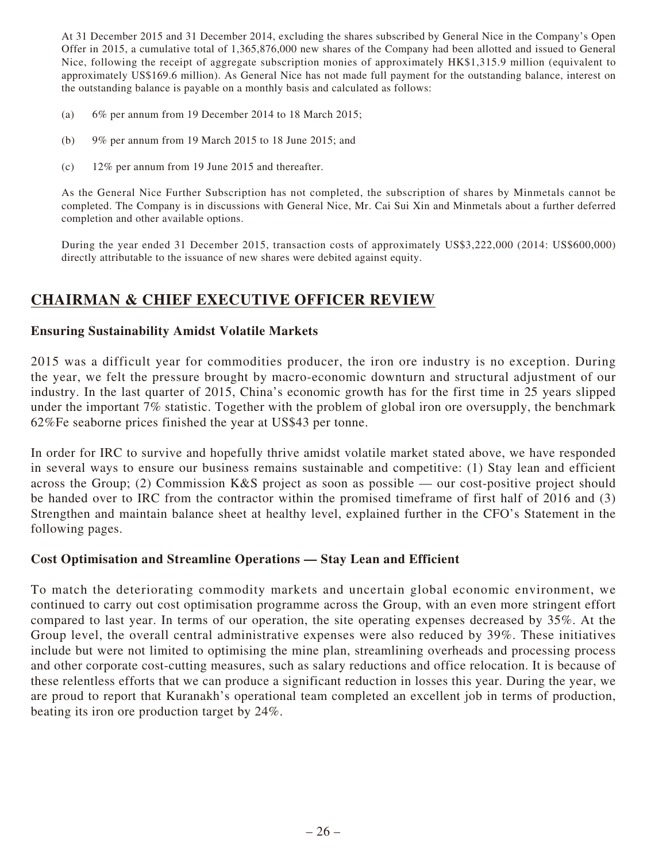At 31 December 2015 and 31 December 2014, excluding the shares subscribed by General Nice in the Company's Open Offer in 2015, a cumulative total of 1,365,876,000 new shares of the Company had been allotted and issued to General Nice, following the receipt of aggregate subscription monies of approximately HK\$1,315.9 million (equivalent to approximately US\$169.6 million). As General Nice has not made full payment for the outstanding balance, interest on the outstanding balance is payable on a monthly basis and calculated as follows:

- (a) 6% per annum from 19 December 2014 to 18 March 2015;
- (b) 9% per annum from 19 March 2015 to 18 June 2015; and
- (c) 12% per annum from 19 June 2015 and thereafter.

As the General Nice Further Subscription has not completed, the subscription of shares by Minmetals cannot be completed. The Company is in discussions with General Nice, Mr. Cai Sui Xin and Minmetals about a further deferred completion and other available options.

During the year ended 31 December 2015, transaction costs of approximately US\$3,222,000 (2014: US\$600,000) directly attributable to the issuance of new shares were debited against equity.

# **CHAIRMAN & CHIEF EXECUTIVE OFFICER REVIEW**

## **Ensuring Sustainability Amidst Volatile Markets**

2015 was a difficult year for commodities producer, the iron ore industry is no exception. During the year, we felt the pressure brought by macro-economic downturn and structural adjustment of our industry. In the last quarter of 2015, China's economic growth has for the first time in 25 years slipped under the important 7% statistic. Together with the problem of global iron ore oversupply, the benchmark 62%Fe seaborne prices finished the year at US\$43 per tonne.

In order for IRC to survive and hopefully thrive amidst volatile market stated above, we have responded in several ways to ensure our business remains sustainable and competitive: (1) Stay lean and efficient across the Group; (2) Commission K&S project as soon as possible — our cost-positive project should be handed over to IRC from the contractor within the promised timeframe of first half of 2016 and (3) Strengthen and maintain balance sheet at healthy level, explained further in the CFO's Statement in the following pages.

## **Cost Optimisation and Streamline Operations — Stay Lean and Efficient**

To match the deteriorating commodity markets and uncertain global economic environment, we continued to carry out cost optimisation programme across the Group, with an even more stringent effort compared to last year. In terms of our operation, the site operating expenses decreased by 35%. At the Group level, the overall central administrative expenses were also reduced by 39%. These initiatives include but were not limited to optimising the mine plan, streamlining overheads and processing process and other corporate cost-cutting measures, such as salary reductions and office relocation. It is because of these relentless efforts that we can produce a significant reduction in losses this year. During the year, we are proud to report that Kuranakh's operational team completed an excellent job in terms of production, beating its iron ore production target by 24%.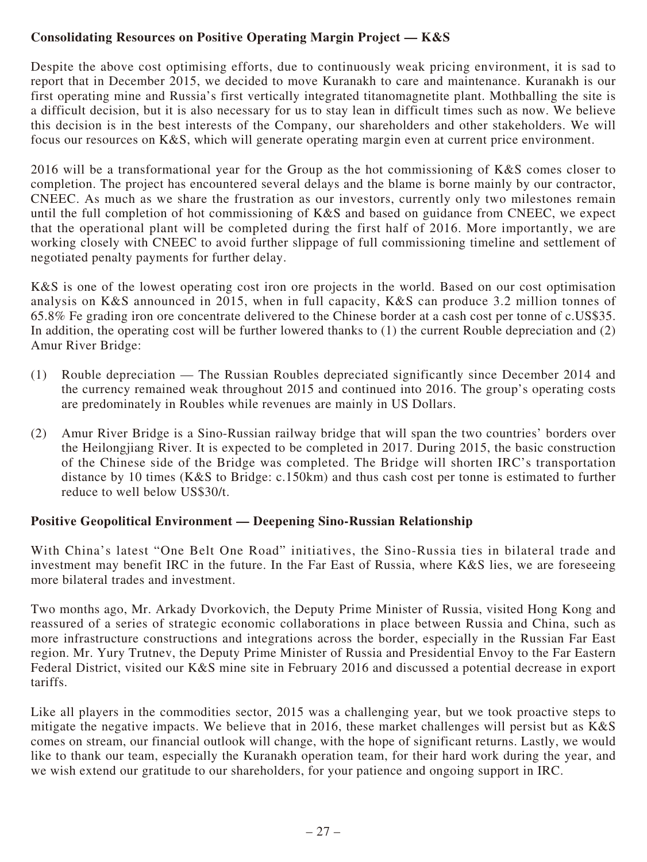## **Consolidating Resources on Positive Operating Margin Project — K&S**

Despite the above cost optimising efforts, due to continuously weak pricing environment, it is sad to report that in December 2015, we decided to move Kuranakh to care and maintenance. Kuranakh is our first operating mine and Russia's first vertically integrated titanomagnetite plant. Mothballing the site is a difficult decision, but it is also necessary for us to stay lean in difficult times such as now. We believe this decision is in the best interests of the Company, our shareholders and other stakeholders. We will focus our resources on K&S, which will generate operating margin even at current price environment.

2016 will be a transformational year for the Group as the hot commissioning of K&S comes closer to completion. The project has encountered several delays and the blame is borne mainly by our contractor, CNEEC. As much as we share the frustration as our investors, currently only two milestones remain until the full completion of hot commissioning of K&S and based on guidance from CNEEC, we expect that the operational plant will be completed during the first half of 2016. More importantly, we are working closely with CNEEC to avoid further slippage of full commissioning timeline and settlement of negotiated penalty payments for further delay.

K&S is one of the lowest operating cost iron ore projects in the world. Based on our cost optimisation analysis on K&S announced in 2015, when in full capacity, K&S can produce 3.2 million tonnes of 65.8% Fe grading iron ore concentrate delivered to the Chinese border at a cash cost per tonne of c.US\$35. In addition, the operating cost will be further lowered thanks to (1) the current Rouble depreciation and (2) Amur River Bridge:

- (1) Rouble depreciation The Russian Roubles depreciated significantly since December 2014 and the currency remained weak throughout 2015 and continued into 2016. The group's operating costs are predominately in Roubles while revenues are mainly in US Dollars.
- (2) Amur River Bridge is a Sino-Russian railway bridge that will span the two countries' borders over the Heilongjiang River. It is expected to be completed in 2017. During 2015, the basic construction of the Chinese side of the Bridge was completed. The Bridge will shorten IRC's transportation distance by 10 times (K&S to Bridge: c.150km) and thus cash cost per tonne is estimated to further reduce to well below US\$30/t.

## **Positive Geopolitical Environment — Deepening Sino-Russian Relationship**

With China's latest "One Belt One Road" initiatives, the Sino-Russia ties in bilateral trade and investment may benefit IRC in the future. In the Far East of Russia, where K&S lies, we are foreseeing more bilateral trades and investment.

Two months ago, Mr. Arkady Dvorkovich, the Deputy Prime Minister of Russia, visited Hong Kong and reassured of a series of strategic economic collaborations in place between Russia and China, such as more infrastructure constructions and integrations across the border, especially in the Russian Far East region. Mr. Yury Trutnev, the Deputy Prime Minister of Russia and Presidential Envoy to the Far Eastern Federal District, visited our K&S mine site in February 2016 and discussed a potential decrease in export tariffs.

Like all players in the commodities sector, 2015 was a challenging year, but we took proactive steps to mitigate the negative impacts. We believe that in 2016, these market challenges will persist but as K&S comes on stream, our financial outlook will change, with the hope of significant returns. Lastly, we would like to thank our team, especially the Kuranakh operation team, for their hard work during the year, and we wish extend our gratitude to our shareholders, for your patience and ongoing support in IRC.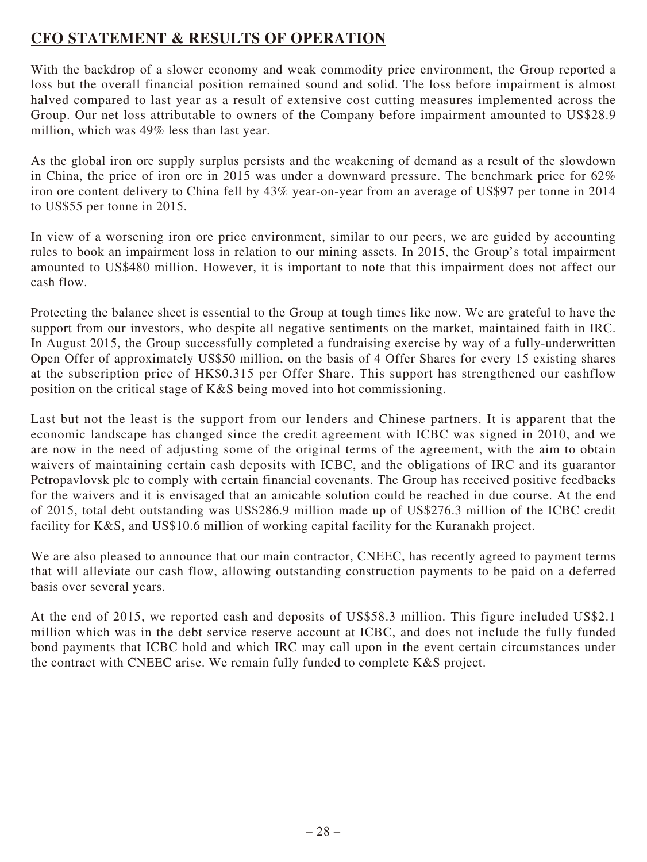# **CFO STATEMENT & RESULTS OF OPERATION**

With the backdrop of a slower economy and weak commodity price environment, the Group reported a loss but the overall financial position remained sound and solid. The loss before impairment is almost halved compared to last year as a result of extensive cost cutting measures implemented across the Group. Our net loss attributable to owners of the Company before impairment amounted to US\$28.9 million, which was 49% less than last year.

As the global iron ore supply surplus persists and the weakening of demand as a result of the slowdown in China, the price of iron ore in 2015 was under a downward pressure. The benchmark price for 62% iron ore content delivery to China fell by 43% year-on-year from an average of US\$97 per tonne in 2014 to US\$55 per tonne in 2015.

In view of a worsening iron ore price environment, similar to our peers, we are guided by accounting rules to book an impairment loss in relation to our mining assets. In 2015, the Group's total impairment amounted to US\$480 million. However, it is important to note that this impairment does not affect our cash flow.

Protecting the balance sheet is essential to the Group at tough times like now. We are grateful to have the support from our investors, who despite all negative sentiments on the market, maintained faith in IRC. In August 2015, the Group successfully completed a fundraising exercise by way of a fully-underwritten Open Offer of approximately US\$50 million, on the basis of 4 Offer Shares for every 15 existing shares at the subscription price of HK\$0.315 per Offer Share. This support has strengthened our cashflow position on the critical stage of K&S being moved into hot commissioning.

Last but not the least is the support from our lenders and Chinese partners. It is apparent that the economic landscape has changed since the credit agreement with ICBC was signed in 2010, and we are now in the need of adjusting some of the original terms of the agreement, with the aim to obtain waivers of maintaining certain cash deposits with ICBC, and the obligations of IRC and its guarantor Petropavlovsk plc to comply with certain financial covenants. The Group has received positive feedbacks for the waivers and it is envisaged that an amicable solution could be reached in due course. At the end of 2015, total debt outstanding was US\$286.9 million made up of US\$276.3 million of the ICBC credit facility for K&S, and US\$10.6 million of working capital facility for the Kuranakh project.

We are also pleased to announce that our main contractor, CNEEC, has recently agreed to payment terms that will alleviate our cash flow, allowing outstanding construction payments to be paid on a deferred basis over several years.

At the end of 2015, we reported cash and deposits of US\$58.3 million. This figure included US\$2.1 million which was in the debt service reserve account at ICBC, and does not include the fully funded bond payments that ICBC hold and which IRC may call upon in the event certain circumstances under the contract with CNEEC arise. We remain fully funded to complete K&S project.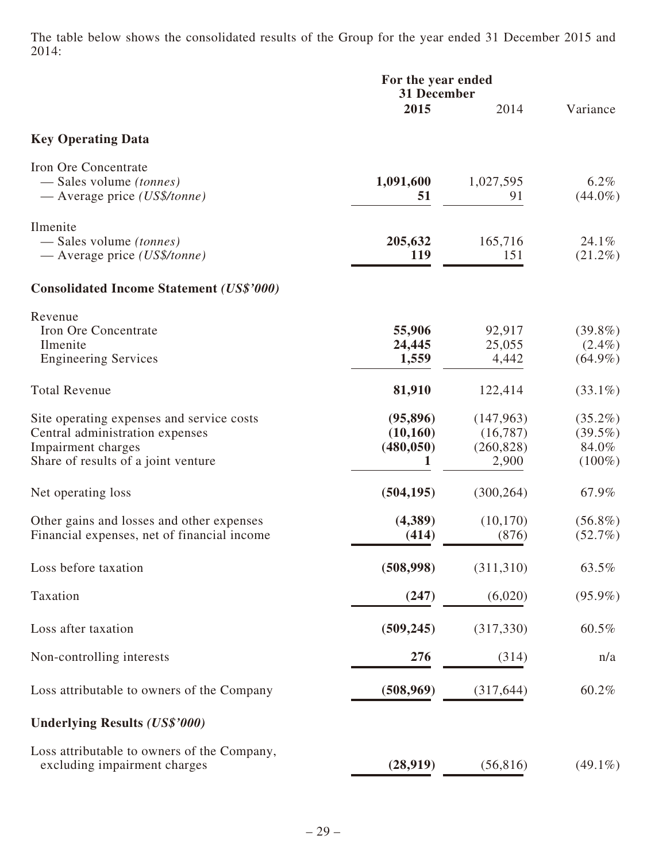The table below shows the consolidated results of the Group for the year ended 31 December 2015 and 2014:

|                                                                                                                                           | For the year ended<br>31 December         |                                               |                                                |  |
|-------------------------------------------------------------------------------------------------------------------------------------------|-------------------------------------------|-----------------------------------------------|------------------------------------------------|--|
|                                                                                                                                           | 2015                                      | 2014                                          | Variance                                       |  |
| <b>Key Operating Data</b>                                                                                                                 |                                           |                                               |                                                |  |
| Iron Ore Concentrate<br>— Sales volume <i>(tonnes)</i><br>$-$ Average price (US\$/tonne)                                                  | 1,091,600<br>51                           | 1,027,595<br>91                               | $6.2\%$<br>$(44.0\%)$                          |  |
| Ilmenite<br>— Sales volume <i>(tonnes)</i><br>— Average price $(US\$/tonne)$                                                              | 205,632<br>119                            | 165,716<br>151                                | 24.1%<br>$(21.2\%)$                            |  |
| <b>Consolidated Income Statement (US\$'000)</b>                                                                                           |                                           |                                               |                                                |  |
| Revenue<br>Iron Ore Concentrate<br>Ilmenite<br><b>Engineering Services</b>                                                                | 55,906<br>24,445<br>1,559                 | 92,917<br>25,055<br>4,442                     | $(39.8\%)$<br>$(2.4\%)$<br>$(64.9\%)$          |  |
| <b>Total Revenue</b>                                                                                                                      | 81,910                                    | 122,414                                       | $(33.1\%)$                                     |  |
| Site operating expenses and service costs<br>Central administration expenses<br>Impairment charges<br>Share of results of a joint venture | (95, 896)<br>(10, 160)<br>(480, 050)<br>1 | (147, 963)<br>(16,787)<br>(260, 828)<br>2,900 | $(35.2\%)$<br>$(39.5\%)$<br>84.0%<br>$(100\%)$ |  |
| Net operating loss                                                                                                                        | (504, 195)                                | (300, 264)                                    | 67.9%                                          |  |
| Other gains and losses and other expenses<br>Financial expenses, net of financial income                                                  | (4,389)<br>(414)                          | (10, 170)<br>(876)                            | $(56.8\%)$<br>$(52.7\%)$                       |  |
| Loss before taxation                                                                                                                      | (508,998)                                 | (311, 310)                                    | 63.5%                                          |  |
| Taxation                                                                                                                                  | (247)                                     | (6,020)                                       | $(95.9\%)$                                     |  |
| Loss after taxation                                                                                                                       | (509, 245)                                | (317, 330)                                    | 60.5%                                          |  |
| Non-controlling interests                                                                                                                 | 276                                       | (314)                                         | n/a                                            |  |
| Loss attributable to owners of the Company                                                                                                | (508, 969)                                | (317, 644)                                    | 60.2%                                          |  |
| <b>Underlying Results (US\$'000)</b>                                                                                                      |                                           |                                               |                                                |  |
| Loss attributable to owners of the Company,<br>excluding impairment charges                                                               | (28,919)                                  | (56, 816)                                     | $(49.1\%)$                                     |  |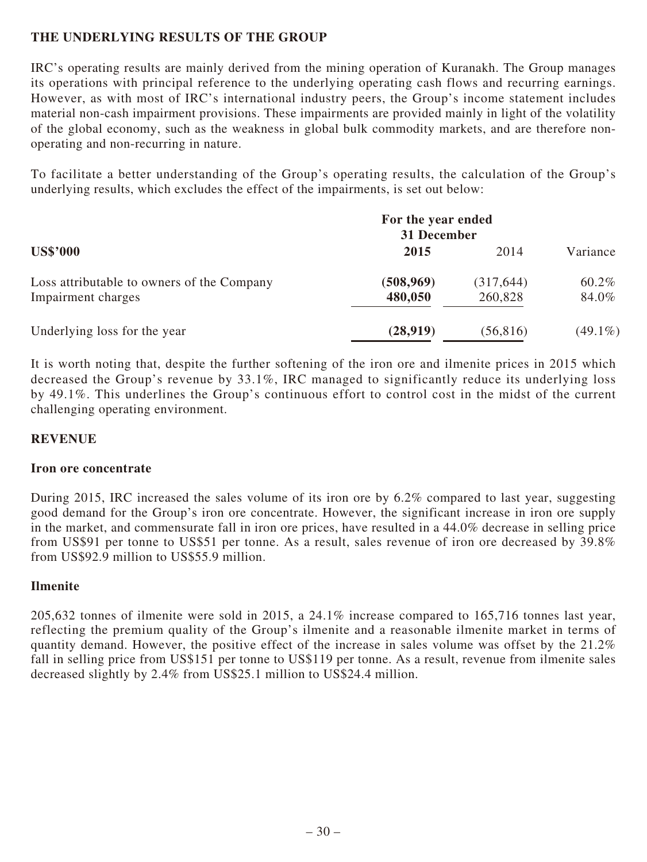## **THE UNDERLYING RESULTS OF THE GROUP**

IRC's operating results are mainly derived from the mining operation of Kuranakh. The Group manages its operations with principal reference to the underlying operating cash flows and recurring earnings. However, as with most of IRC's international industry peers, the Group's income statement includes material non-cash impairment provisions. These impairments are provided mainly in light of the volatility of the global economy, such as the weakness in global bulk commodity markets, and are therefore nonoperating and non-recurring in nature.

To facilitate a better understanding of the Group's operating results, the calculation of the Group's underlying results, which excludes the effect of the impairments, is set out below:

|                                            | For the year ended<br>31 December |            |            |
|--------------------------------------------|-----------------------------------|------------|------------|
| <b>US\$'000</b>                            | 2015                              | 2014       | Variance   |
| Loss attributable to owners of the Company | (508, 969)                        | (317, 644) | 60.2%      |
| Impairment charges                         | 480,050                           | 260,828    | 84.0%      |
| Underlying loss for the year               | (28,919)                          | (56, 816)  | $(49.1\%)$ |

It is worth noting that, despite the further softening of the iron ore and ilmenite prices in 2015 which decreased the Group's revenue by 33.1%, IRC managed to significantly reduce its underlying loss by 49.1%. This underlines the Group's continuous effort to control cost in the midst of the current challenging operating environment.

## **REVENUE**

## **Iron ore concentrate**

During 2015, IRC increased the sales volume of its iron ore by 6.2% compared to last year, suggesting good demand for the Group's iron ore concentrate. However, the significant increase in iron ore supply in the market, and commensurate fall in iron ore prices, have resulted in a 44.0% decrease in selling price from US\$91 per tonne to US\$51 per tonne. As a result, sales revenue of iron ore decreased by 39.8% from US\$92.9 million to US\$55.9 million.

## **Ilmenite**

205,632 tonnes of ilmenite were sold in 2015, a 24.1% increase compared to 165,716 tonnes last year, reflecting the premium quality of the Group's ilmenite and a reasonable ilmenite market in terms of quantity demand. However, the positive effect of the increase in sales volume was offset by the 21.2% fall in selling price from US\$151 per tonne to US\$119 per tonne. As a result, revenue from ilmenite sales decreased slightly by 2.4% from US\$25.1 million to US\$24.4 million.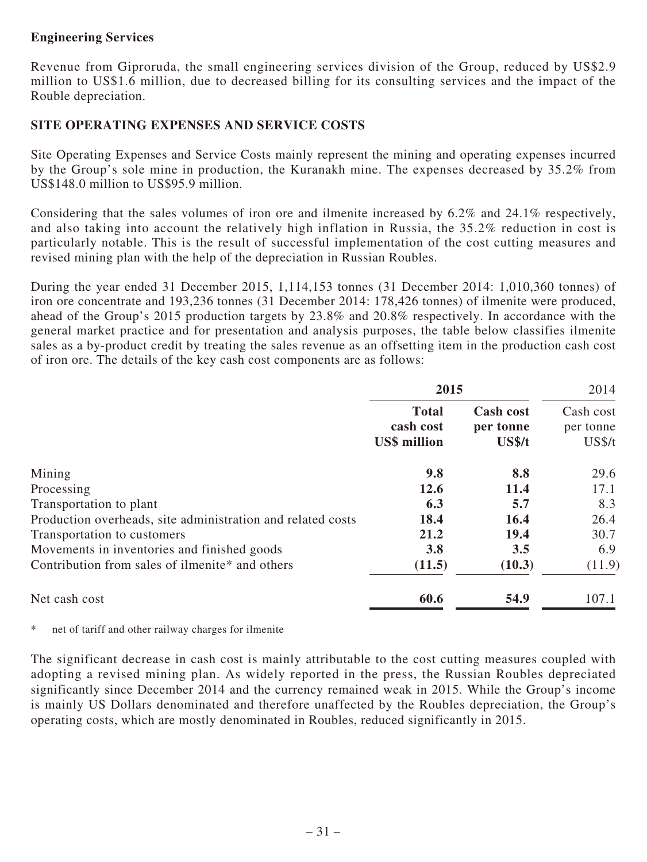## **Engineering Services**

Revenue from Giproruda, the small engineering services division of the Group, reduced by US\$2.9 million to US\$1.6 million, due to decreased billing for its consulting services and the impact of the Rouble depreciation.

## **SITE OPERATING EXPENSES AND SERVICE COSTS**

Site Operating Expenses and Service Costs mainly represent the mining and operating expenses incurred by the Group's sole mine in production, the Kuranakh mine. The expenses decreased by 35.2% from US\$148.0 million to US\$95.9 million.

Considering that the sales volumes of iron ore and ilmenite increased by 6.2% and 24.1% respectively, and also taking into account the relatively high inflation in Russia, the 35.2% reduction in cost is particularly notable. This is the result of successful implementation of the cost cutting measures and revised mining plan with the help of the depreciation in Russian Roubles.

During the year ended 31 December 2015, 1,114,153 tonnes (31 December 2014: 1,010,360 tonnes) of iron ore concentrate and 193,236 tonnes (31 December 2014: 178,426 tonnes) of ilmenite were produced, ahead of the Group's 2015 production targets by 23.8% and 20.8% respectively. In accordance with the general market practice and for presentation and analysis purposes, the table below classifies ilmenite sales as a by-product credit by treating the sales revenue as an offsetting item in the production cash cost of iron ore. The details of the key cash cost components are as follows:

|                                                             | 2015                                             |                                         | 2014                             |  |
|-------------------------------------------------------------|--------------------------------------------------|-----------------------------------------|----------------------------------|--|
|                                                             | <b>Total</b><br>cash cost<br><b>US\$</b> million | <b>Cash cost</b><br>per tonne<br>US\$/t | Cash cost<br>per tonne<br>US\$/t |  |
| Mining                                                      | 9.8                                              | 8.8                                     | 29.6                             |  |
| Processing                                                  | 12.6                                             | 11.4                                    | 17.1                             |  |
| Transportation to plant                                     | 6.3                                              | 5.7                                     | 8.3                              |  |
| Production overheads, site administration and related costs | 18.4                                             | 16.4                                    | 26.4                             |  |
| Transportation to customers                                 | 21.2                                             | 19.4                                    | 30.7                             |  |
| Movements in inventories and finished goods                 | 3.8                                              | 3.5                                     | 6.9                              |  |
| Contribution from sales of ilmenite* and others             | (11.5)                                           | (10.3)                                  | (11.9)                           |  |
| Net cash cost                                               | 60.6                                             | 54.9                                    | 107.1                            |  |

\* net of tariff and other railway charges for ilmenite

The significant decrease in cash cost is mainly attributable to the cost cutting measures coupled with adopting a revised mining plan. As widely reported in the press, the Russian Roubles depreciated significantly since December 2014 and the currency remained weak in 2015. While the Group's income is mainly US Dollars denominated and therefore unaffected by the Roubles depreciation, the Group's operating costs, which are mostly denominated in Roubles, reduced significantly in 2015.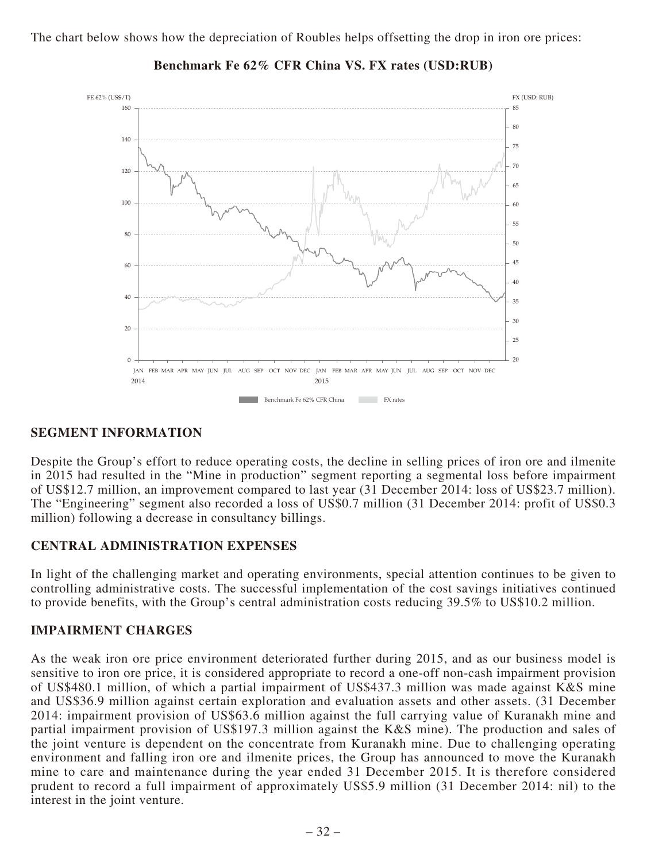

### **Benchmark Fe 62% CFR China VS. FX rates (USD:RUB)**

### **SEGMENT INFORMATION**

Despite the Group's effort to reduce operating costs, the decline in selling prices of iron ore and ilmenite in 2015 had resulted in the "Mine in production" segment reporting a segmental loss before impairment of US\$12.7 million, an improvement compared to last year (31 December 2014: loss of US\$23.7 million). The "Engineering" segment also recorded a loss of US\$0.7 million (31 December 2014: profit of US\$0.3 million) following a decrease in consultancy billings.

## **CENTRAL ADMINISTRATION EXPENSES**

In light of the challenging market and operating environments, special attention continues to be given to controlling administrative costs. The successful implementation of the cost savings initiatives continued to provide benefits, with the Group's central administration costs reducing 39.5% to US\$10.2 million.

## **IMPAIRMENT CHARGES**

As the weak iron ore price environment deteriorated further during 2015, and as our business model is sensitive to iron ore price, it is considered appropriate to record a one-off non-cash impairment provision of US\$480.1 million, of which a partial impairment of US\$437.3 million was made against K&S mine and US\$36.9 million against certain exploration and evaluation assets and other assets. (31 December 2014: impairment provision of US\$63.6 million against the full carrying value of Kuranakh mine and partial impairment provision of US\$197.3 million against the K&S mine). The production and sales of the joint venture is dependent on the concentrate from Kuranakh mine. Due to challenging operating environment and falling iron ore and ilmenite prices, the Group has announced to move the Kuranakh mine to care and maintenance during the year ended 31 December 2015. It is therefore considered prudent to record a full impairment of approximately US\$5.9 million (31 December 2014: nil) to the interest in the joint venture.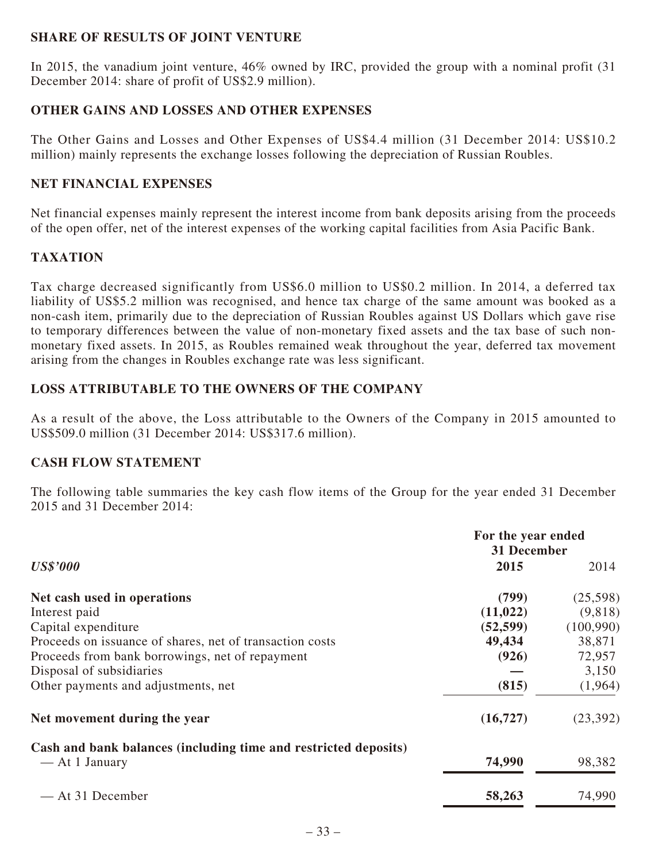## **SHARE OF RESULTS OF JOINT VENTURE**

In 2015, the vanadium joint venture, 46% owned by IRC, provided the group with a nominal profit (31 December 2014: share of profit of US\$2.9 million).

## **OTHER GAINS AND LOSSES AND OTHER EXPENSES**

The Other Gains and Losses and Other Expenses of US\$4.4 million (31 December 2014: US\$10.2 million) mainly represents the exchange losses following the depreciation of Russian Roubles.

## **NET FINANCIAL EXPENSES**

Net financial expenses mainly represent the interest income from bank deposits arising from the proceeds of the open offer, net of the interest expenses of the working capital facilities from Asia Pacific Bank.

## **TAXATION**

Tax charge decreased significantly from US\$6.0 million to US\$0.2 million. In 2014, a deferred tax liability of US\$5.2 million was recognised, and hence tax charge of the same amount was booked as a non-cash item, primarily due to the depreciation of Russian Roubles against US Dollars which gave rise to temporary differences between the value of non-monetary fixed assets and the tax base of such nonmonetary fixed assets. In 2015, as Roubles remained weak throughout the year, deferred tax movement arising from the changes in Roubles exchange rate was less significant.

## **LOSS ATTRIBUTABLE TO THE OWNERS OF THE COMPANY**

As a result of the above, the Loss attributable to the Owners of the Company in 2015 amounted to US\$509.0 million (31 December 2014: US\$317.6 million).

## **CASH FLOW STATEMENT**

The following table summaries the key cash flow items of the Group for the year ended 31 December 2015 and 31 December 2014:

|                                                                                   | For the year ended<br>31 December |            |  |
|-----------------------------------------------------------------------------------|-----------------------------------|------------|--|
| <b>US\$'000</b>                                                                   | 2015                              | 2014       |  |
| Net cash used in operations                                                       | (799)                             | (25,598)   |  |
| Interest paid                                                                     | (11, 022)                         | (9,818)    |  |
| Capital expenditure                                                               | (52, 599)                         | (100, 990) |  |
| Proceeds on issuance of shares, net of transaction costs                          | 49,434                            | 38,871     |  |
| Proceeds from bank borrowings, net of repayment                                   | (926)                             | 72,957     |  |
| Disposal of subsidiaries                                                          |                                   | 3,150      |  |
| Other payments and adjustments, net                                               | (815)                             | (1,964)    |  |
| Net movement during the year                                                      | (16, 727)                         | (23, 392)  |  |
| Cash and bank balances (including time and restricted deposits)<br>— At 1 January | 74,990                            | 98,382     |  |
| — At 31 December                                                                  | 58,263                            | 74,990     |  |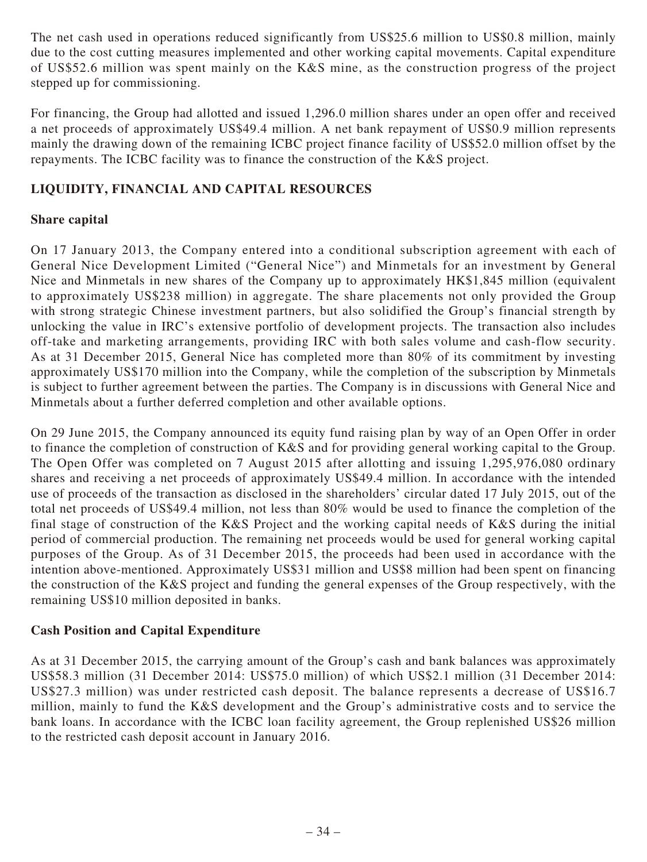The net cash used in operations reduced significantly from US\$25.6 million to US\$0.8 million, mainly due to the cost cutting measures implemented and other working capital movements. Capital expenditure of US\$52.6 million was spent mainly on the K&S mine, as the construction progress of the project stepped up for commissioning.

For financing, the Group had allotted and issued 1,296.0 million shares under an open offer and received a net proceeds of approximately US\$49.4 million. A net bank repayment of US\$0.9 million represents mainly the drawing down of the remaining ICBC project finance facility of US\$52.0 million offset by the repayments. The ICBC facility was to finance the construction of the K&S project.

## **LIQUIDITY, FINANCIAL AND CAPITAL RESOURCES**

## **Share capital**

On 17 January 2013, the Company entered into a conditional subscription agreement with each of General Nice Development Limited ("General Nice") and Minmetals for an investment by General Nice and Minmetals in new shares of the Company up to approximately HK\$1,845 million (equivalent to approximately US\$238 million) in aggregate. The share placements not only provided the Group with strong strategic Chinese investment partners, but also solidified the Group's financial strength by unlocking the value in IRC's extensive portfolio of development projects. The transaction also includes off-take and marketing arrangements, providing IRC with both sales volume and cash-flow security. As at 31 December 2015, General Nice has completed more than 80% of its commitment by investing approximately US\$170 million into the Company, while the completion of the subscription by Minmetals is subject to further agreement between the parties. The Company is in discussions with General Nice and Minmetals about a further deferred completion and other available options.

On 29 June 2015, the Company announced its equity fund raising plan by way of an Open Offer in order to finance the completion of construction of K&S and for providing general working capital to the Group. The Open Offer was completed on 7 August 2015 after allotting and issuing 1,295,976,080 ordinary shares and receiving a net proceeds of approximately US\$49.4 million. In accordance with the intended use of proceeds of the transaction as disclosed in the shareholders' circular dated 17 July 2015, out of the total net proceeds of US\$49.4 million, not less than 80% would be used to finance the completion of the final stage of construction of the K&S Project and the working capital needs of K&S during the initial period of commercial production. The remaining net proceeds would be used for general working capital purposes of the Group. As of 31 December 2015, the proceeds had been used in accordance with the intention above-mentioned. Approximately US\$31 million and US\$8 million had been spent on financing the construction of the K&S project and funding the general expenses of the Group respectively, with the remaining US\$10 million deposited in banks.

## **Cash Position and Capital Expenditure**

As at 31 December 2015, the carrying amount of the Group's cash and bank balances was approximately US\$58.3 million (31 December 2014: US\$75.0 million) of which US\$2.1 million (31 December 2014: US\$27.3 million) was under restricted cash deposit. The balance represents a decrease of US\$16.7 million, mainly to fund the K&S development and the Group's administrative costs and to service the bank loans. In accordance with the ICBC loan facility agreement, the Group replenished US\$26 million to the restricted cash deposit account in January 2016.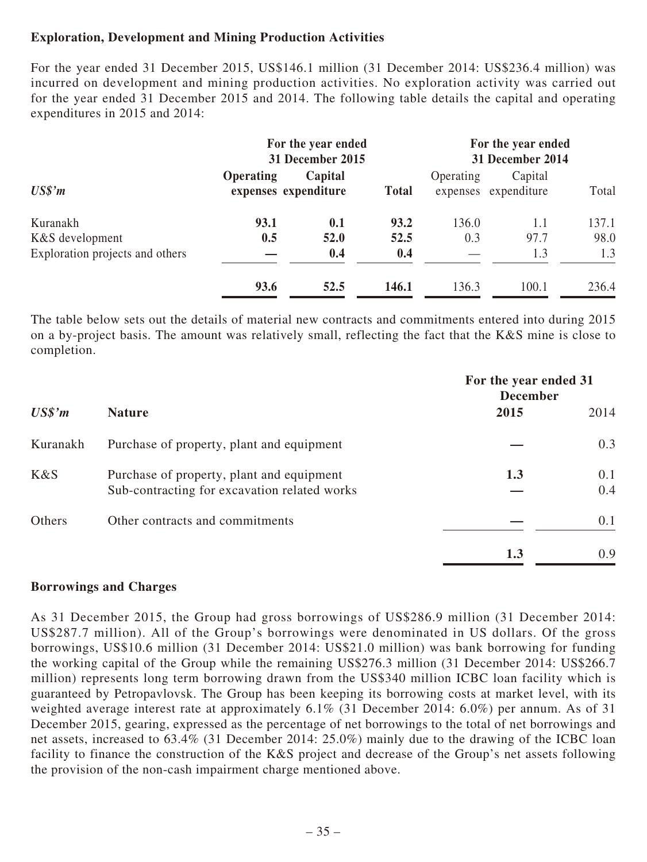## **Exploration, Development and Mining Production Activities**

For the year ended 31 December 2015, US\$146.1 million (31 December 2014: US\$236.4 million) was incurred on development and mining production activities. No exploration activity was carried out for the year ended 31 December 2015 and 2014. The following table details the capital and operating expenditures in 2015 and 2014:

|                                 | For the year ended<br>31 December 2015 |                                 | For the year ended<br>31 December 2014 |           |                                 |       |
|---------------------------------|----------------------------------------|---------------------------------|----------------------------------------|-----------|---------------------------------|-------|
| $US\$ <sup>2</sup> $m$          | <b>Operating</b>                       | Capital<br>expenses expenditure | <b>Total</b>                           | Operating | Capital<br>expenses expenditure | Total |
| Kuranakh                        | 93.1                                   | 0.1                             | 93.2                                   | 136.0     | 1.1                             | 137.1 |
| K&S development                 | 0.5                                    | 52.0                            | 52.5                                   | 0.3       | 97.7                            | 98.0  |
| Exploration projects and others |                                        | 0.4                             | 0.4                                    |           | 1.3                             | 1.3   |
|                                 | 93.6                                   | 52.5                            | 146.1                                  | 136.3     | 100.1                           | 236.4 |

The table below sets out the details of material new contracts and commitments entered into during 2015 on a by-project basis. The amount was relatively small, reflecting the fact that the K&S mine is close to completion.

|                     |                                                                                           | For the year ended 31<br><b>December</b> |            |  |
|---------------------|-------------------------------------------------------------------------------------------|------------------------------------------|------------|--|
| US\$ <sup>'</sup> m | <b>Nature</b>                                                                             | 2015                                     | 2014       |  |
| Kuranakh            | Purchase of property, plant and equipment                                                 |                                          | 0.3        |  |
| K&S                 | Purchase of property, plant and equipment<br>Sub-contracting for excavation related works | 1.3                                      | 0.1<br>0.4 |  |
| Others              | Other contracts and commitments                                                           |                                          | 0.1        |  |
|                     |                                                                                           | 1.3                                      | 0.9        |  |

## **Borrowings and Charges**

As 31 December 2015, the Group had gross borrowings of US\$286.9 million (31 December 2014: US\$287.7 million). All of the Group's borrowings were denominated in US dollars. Of the gross borrowings, US\$10.6 million (31 December 2014: US\$21.0 million) was bank borrowing for funding the working capital of the Group while the remaining US\$276.3 million (31 December 2014: US\$266.7 million) represents long term borrowing drawn from the US\$340 million ICBC loan facility which is guaranteed by Petropavlovsk. The Group has been keeping its borrowing costs at market level, with its weighted average interest rate at approximately 6.1% (31 December 2014: 6.0%) per annum. As of 31 December 2015, gearing, expressed as the percentage of net borrowings to the total of net borrowings and net assets, increased to 63.4% (31 December 2014: 25.0%) mainly due to the drawing of the ICBC loan facility to finance the construction of the K&S project and decrease of the Group's net assets following the provision of the non-cash impairment charge mentioned above.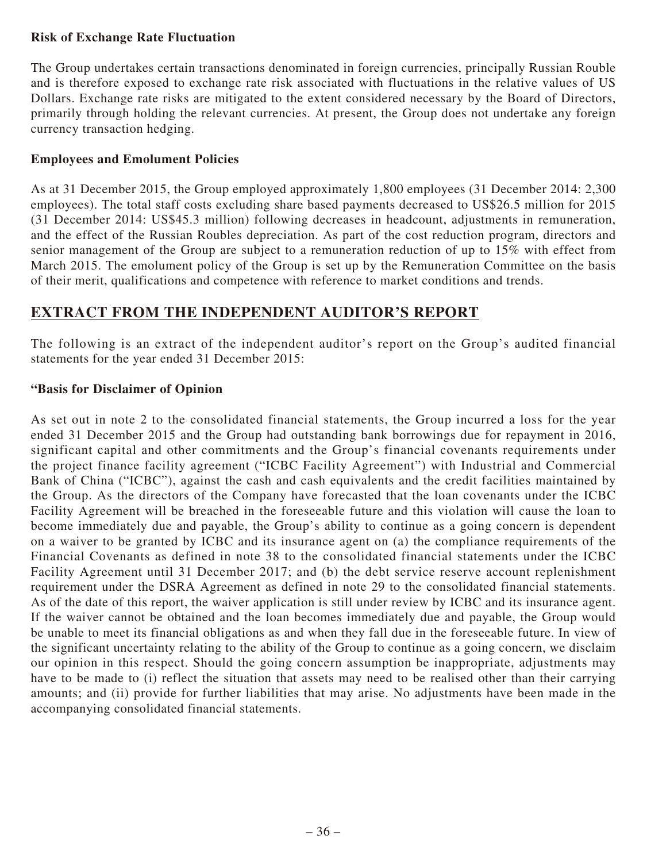## **Risk of Exchange Rate Fluctuation**

The Group undertakes certain transactions denominated in foreign currencies, principally Russian Rouble and is therefore exposed to exchange rate risk associated with fluctuations in the relative values of US Dollars. Exchange rate risks are mitigated to the extent considered necessary by the Board of Directors, primarily through holding the relevant currencies. At present, the Group does not undertake any foreign currency transaction hedging.

## **Employees and Emolument Policies**

As at 31 December 2015, the Group employed approximately 1,800 employees (31 December 2014: 2,300 employees). The total staff costs excluding share based payments decreased to US\$26.5 million for 2015 (31 December 2014: US\$45.3 million) following decreases in headcount, adjustments in remuneration, and the effect of the Russian Roubles depreciation. As part of the cost reduction program, directors and senior management of the Group are subject to a remuneration reduction of up to 15% with effect from March 2015. The emolument policy of the Group is set up by the Remuneration Committee on the basis of their merit, qualifications and competence with reference to market conditions and trends.

# **EXTRACT FROM THE INDEPENDENT AUDITOR'S REPORT**

The following is an extract of the independent auditor's report on the Group's audited financial statements for the year ended 31 December 2015:

## **"Basis for Disclaimer of Opinion**

As set out in note 2 to the consolidated financial statements, the Group incurred a loss for the year ended 31 December 2015 and the Group had outstanding bank borrowings due for repayment in 2016, significant capital and other commitments and the Group's financial covenants requirements under the project finance facility agreement ("ICBC Facility Agreement") with Industrial and Commercial Bank of China ("ICBC"), against the cash and cash equivalents and the credit facilities maintained by the Group. As the directors of the Company have forecasted that the loan covenants under the ICBC Facility Agreement will be breached in the foreseeable future and this violation will cause the loan to become immediately due and payable, the Group's ability to continue as a going concern is dependent on a waiver to be granted by ICBC and its insurance agent on (a) the compliance requirements of the Financial Covenants as defined in note 38 to the consolidated financial statements under the ICBC Facility Agreement until 31 December 2017; and (b) the debt service reserve account replenishment requirement under the DSRA Agreement as defined in note 29 to the consolidated financial statements. As of the date of this report, the waiver application is still under review by ICBC and its insurance agent. If the waiver cannot be obtained and the loan becomes immediately due and payable, the Group would be unable to meet its financial obligations as and when they fall due in the foreseeable future. In view of the significant uncertainty relating to the ability of the Group to continue as a going concern, we disclaim our opinion in this respect. Should the going concern assumption be inappropriate, adjustments may have to be made to (i) reflect the situation that assets may need to be realised other than their carrying amounts; and (ii) provide for further liabilities that may arise. No adjustments have been made in the accompanying consolidated financial statements.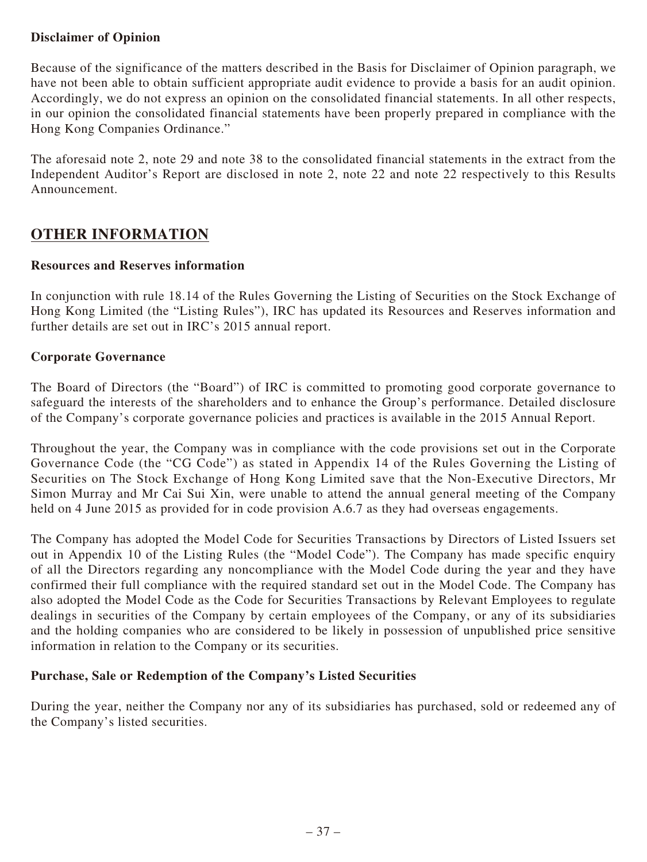## **Disclaimer of Opinion**

Because of the significance of the matters described in the Basis for Disclaimer of Opinion paragraph, we have not been able to obtain sufficient appropriate audit evidence to provide a basis for an audit opinion. Accordingly, we do not express an opinion on the consolidated financial statements. In all other respects, in our opinion the consolidated financial statements have been properly prepared in compliance with the Hong Kong Companies Ordinance."

The aforesaid note 2, note 29 and note 38 to the consolidated financial statements in the extract from the Independent Auditor's Report are disclosed in note 2, note 22 and note 22 respectively to this Results Announcement.

## **OTHER INFORMATION**

## **Resources and Reserves information**

In conjunction with rule 18.14 of the Rules Governing the Listing of Securities on the Stock Exchange of Hong Kong Limited (the "Listing Rules"), IRC has updated its Resources and Reserves information and further details are set out in IRC's 2015 annual report.

## **Corporate Governance**

The Board of Directors (the "Board") of IRC is committed to promoting good corporate governance to safeguard the interests of the shareholders and to enhance the Group's performance. Detailed disclosure of the Company's corporate governance policies and practices is available in the 2015 Annual Report.

Throughout the year, the Company was in compliance with the code provisions set out in the Corporate Governance Code (the "CG Code") as stated in Appendix 14 of the Rules Governing the Listing of Securities on The Stock Exchange of Hong Kong Limited save that the Non-Executive Directors, Mr Simon Murray and Mr Cai Sui Xin, were unable to attend the annual general meeting of the Company held on 4 June 2015 as provided for in code provision A.6.7 as they had overseas engagements.

The Company has adopted the Model Code for Securities Transactions by Directors of Listed Issuers set out in Appendix 10 of the Listing Rules (the "Model Code"). The Company has made specific enquiry of all the Directors regarding any noncompliance with the Model Code during the year and they have confirmed their full compliance with the required standard set out in the Model Code. The Company has also adopted the Model Code as the Code for Securities Transactions by Relevant Employees to regulate dealings in securities of the Company by certain employees of the Company, or any of its subsidiaries and the holding companies who are considered to be likely in possession of unpublished price sensitive information in relation to the Company or its securities.

## **Purchase, Sale or Redemption of the Company's Listed Securities**

During the year, neither the Company nor any of its subsidiaries has purchased, sold or redeemed any of the Company's listed securities.